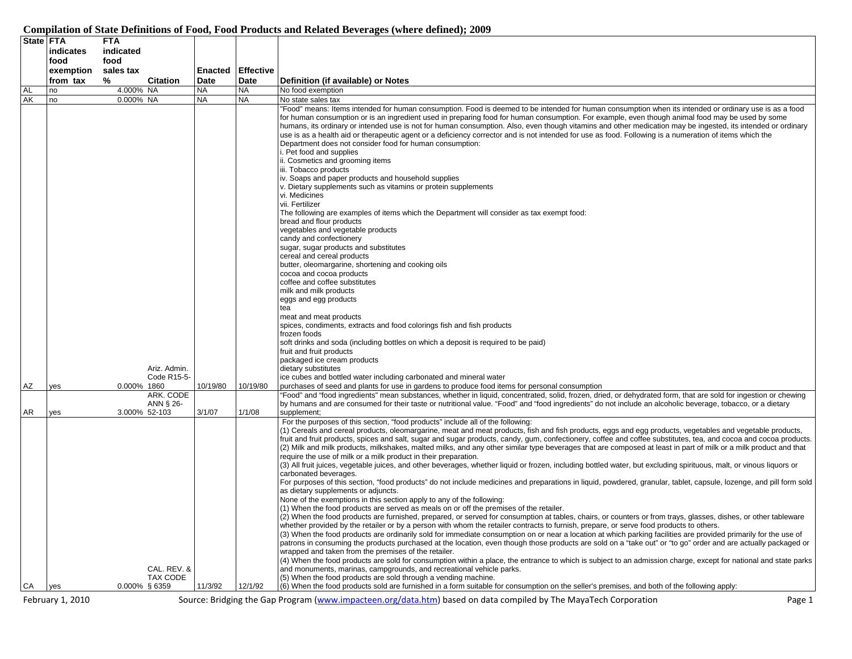## **Compilation of State Definitions of Food, Food Products and Related Beverages (where defined); 2009**

| State FTA       |                  | <b>FTA</b>                              |           |                          |                                                                                                                                                                                                                                                                                                                                                                                                                                                                                                                                                                                                                                                                                                                                                                                                                                                                                                                                                                                                                                                                                                                                                                                                                                                                                                                                                                                                                                                                                                                                                                                                                |
|-----------------|------------------|-----------------------------------------|-----------|--------------------------|----------------------------------------------------------------------------------------------------------------------------------------------------------------------------------------------------------------------------------------------------------------------------------------------------------------------------------------------------------------------------------------------------------------------------------------------------------------------------------------------------------------------------------------------------------------------------------------------------------------------------------------------------------------------------------------------------------------------------------------------------------------------------------------------------------------------------------------------------------------------------------------------------------------------------------------------------------------------------------------------------------------------------------------------------------------------------------------------------------------------------------------------------------------------------------------------------------------------------------------------------------------------------------------------------------------------------------------------------------------------------------------------------------------------------------------------------------------------------------------------------------------------------------------------------------------------------------------------------------------|
|                 | indicates        | indicated                               |           |                          |                                                                                                                                                                                                                                                                                                                                                                                                                                                                                                                                                                                                                                                                                                                                                                                                                                                                                                                                                                                                                                                                                                                                                                                                                                                                                                                                                                                                                                                                                                                                                                                                                |
|                 | food             | food                                    |           |                          |                                                                                                                                                                                                                                                                                                                                                                                                                                                                                                                                                                                                                                                                                                                                                                                                                                                                                                                                                                                                                                                                                                                                                                                                                                                                                                                                                                                                                                                                                                                                                                                                                |
|                 | exemption        | sales tax                               |           | <b>Enacted Effective</b> |                                                                                                                                                                                                                                                                                                                                                                                                                                                                                                                                                                                                                                                                                                                                                                                                                                                                                                                                                                                                                                                                                                                                                                                                                                                                                                                                                                                                                                                                                                                                                                                                                |
|                 | from tax         | %<br><b>Citation</b>                    | Date      | Date                     | Definition (if available) or Notes                                                                                                                                                                                                                                                                                                                                                                                                                                                                                                                                                                                                                                                                                                                                                                                                                                                                                                                                                                                                                                                                                                                                                                                                                                                                                                                                                                                                                                                                                                                                                                             |
| <b>AL</b><br>AK | no               | 4.000% NA                               | <b>NA</b> | <b>NA</b>                | No food exemption                                                                                                                                                                                                                                                                                                                                                                                                                                                                                                                                                                                                                                                                                                                                                                                                                                                                                                                                                                                                                                                                                                                                                                                                                                                                                                                                                                                                                                                                                                                                                                                              |
|                 | no               | 0.000% NA                               | <b>NA</b> | <b>NA</b>                | No state sales tax                                                                                                                                                                                                                                                                                                                                                                                                                                                                                                                                                                                                                                                                                                                                                                                                                                                                                                                                                                                                                                                                                                                                                                                                                                                                                                                                                                                                                                                                                                                                                                                             |
|                 |                  |                                         |           |                          | "Food" means: Items intended for human consumption. Food is deemed to be intended for human consumption when its intended or ordinary use is as a food<br>for human consumption or is an ingredient used in preparing food for human consumption. For example, even though animal food may be used by some<br>humans, its ordinary or intended use is not for human consumption. Also, even though vitamins and other medication may be ingested, its intended or ordinary<br>use is as a health aid or therapeutic agent or a deficiency corrector and is not intended for use as food. Following is a numeration of items which the<br>Department does not consider food for human consumption:<br>. Pet food and supplies<br>ii. Cosmetics and grooming items<br>iii. Tobacco products<br>iv. Soaps and paper products and household supplies<br>v. Dietary supplements such as vitamins or protein supplements<br>vi. Medicines<br>vii. Fertilizer<br>The following are examples of items which the Department will consider as tax exempt food:<br>bread and flour products<br>vegetables and vegetable products<br>candy and confectionery<br>sugar, sugar products and substitutes<br>cereal and cereal products<br>butter, oleomargarine, shortening and cooking oils<br>cocoa and cocoa products<br>coffee and coffee substitutes<br>milk and milk products<br>eggs and egg products<br>tea<br>meat and meat products<br>spices, condiments, extracts and food colorings fish and fish products<br>frozen foods<br>soft drinks and soda (including bottles on which a deposit is required to be paid) |
|                 |                  |                                         |           |                          | fruit and fruit products                                                                                                                                                                                                                                                                                                                                                                                                                                                                                                                                                                                                                                                                                                                                                                                                                                                                                                                                                                                                                                                                                                                                                                                                                                                                                                                                                                                                                                                                                                                                                                                       |
|                 |                  |                                         |           |                          | packaged ice cream products                                                                                                                                                                                                                                                                                                                                                                                                                                                                                                                                                                                                                                                                                                                                                                                                                                                                                                                                                                                                                                                                                                                                                                                                                                                                                                                                                                                                                                                                                                                                                                                    |
|                 |                  | Ariz. Admin.<br>Code R15-5-             |           |                          | dietary substitutes<br>ice cubes and bottled water including carbonated and mineral water                                                                                                                                                                                                                                                                                                                                                                                                                                                                                                                                                                                                                                                                                                                                                                                                                                                                                                                                                                                                                                                                                                                                                                                                                                                                                                                                                                                                                                                                                                                      |
| ΑZ              | yes              | 0.000% 1860                             | 10/19/80  | 10/19/80                 | purchases of seed and plants for use in gardens to produce food items for personal consumption                                                                                                                                                                                                                                                                                                                                                                                                                                                                                                                                                                                                                                                                                                                                                                                                                                                                                                                                                                                                                                                                                                                                                                                                                                                                                                                                                                                                                                                                                                                 |
| AR              | yes              | ARK. CODE<br>ANN § 26-<br>3.000% 52-103 | 3/1/07    | 1/1/08                   | "Food" and "food ingredients" mean substances, whether in liquid, concentrated, solid, frozen, dried, or dehydrated form, that are sold for ingestion or chewing<br>by humans and are consumed for their taste or nutritional value. "Food" and "food ingredients" do not include an alcoholic beverage, tobacco, or a dietary<br>supplement;                                                                                                                                                                                                                                                                                                                                                                                                                                                                                                                                                                                                                                                                                                                                                                                                                                                                                                                                                                                                                                                                                                                                                                                                                                                                  |
|                 |                  |                                         |           |                          | For the purposes of this section, "food products" include all of the following:<br>(1) Cereals and cereal products, oleomargarine, meat and meat products, fish and fish products, eggs and egg products, vegetables and vegetable products,<br>fruit and fruit products, spices and salt, sugar and sugar products, candy, gum, confectionery, coffee and coffee substitutes, tea, and cocoa and cocoa products.<br>(2) Milk and milk products, milkshakes, malted milks, and any other similar type beverages that are composed at least in part of milk or a milk product and that<br>require the use of milk or a milk product in their preparation.<br>(3) All fruit juices, vegetable juices, and other beverages, whether liquid or frozen, including bottled water, but excluding spirituous, malt, or vinous liquors or<br>carbonated beverages.                                                                                                                                                                                                                                                                                                                                                                                                                                                                                                                                                                                                                                                                                                                                                      |
|                 |                  | CAL. REV. &                             |           |                          | For purposes of this section, "food products" do not include medicines and preparations in liquid, powdered, granular, tablet, capsule, lozenge, and pill form sold<br>as dietary supplements or adjuncts.<br>None of the exemptions in this section apply to any of the following:<br>(1) When the food products are served as meals on or off the premises of the retailer.<br>(2) When the food products are furnished, prepared, or served for consumption at tables, chairs, or counters or from trays, glasses, dishes, or other tableware<br>whether provided by the retailer or by a person with whom the retailer contracts to furnish, prepare, or serve food products to others.<br>(3) When the food products are ordinarily sold for immediate consumption on or near a location at which parking facilities are provided primarily for the use of<br>patrons in consuming the products purchased at the location, even though those products are sold on a "take out" or "to go" order and are actually packaged or<br>wrapped and taken from the premises of the retailer.<br>(4) When the food products are sold for consumption within a place, the entrance to which is subject to an admission charge, except for national and state parks<br>and monuments, marinas, campgrounds, and recreational vehicle parks.                                                                                                                                                                                                                                                                          |
| СA              | yes              | TAX CODE<br>$0.000\%$ § 6359            | 11/3/92   | 12/1/92                  | (5) When the food products are sold through a vending machine.<br>(6) When the food products sold are furnished in a form suitable for consumption on the seller's premises, and both of the following apply:                                                                                                                                                                                                                                                                                                                                                                                                                                                                                                                                                                                                                                                                                                                                                                                                                                                                                                                                                                                                                                                                                                                                                                                                                                                                                                                                                                                                  |
|                 |                  |                                         |           |                          |                                                                                                                                                                                                                                                                                                                                                                                                                                                                                                                                                                                                                                                                                                                                                                                                                                                                                                                                                                                                                                                                                                                                                                                                                                                                                                                                                                                                                                                                                                                                                                                                                |
|                 | February 1, 2010 |                                         |           |                          | Source: Bridging the Gap Program (www.impacteen.org/data.htm) based on data compiled by The MayaTech Corporation<br>Page 1                                                                                                                                                                                                                                                                                                                                                                                                                                                                                                                                                                                                                                                                                                                                                                                                                                                                                                                                                                                                                                                                                                                                                                                                                                                                                                                                                                                                                                                                                     |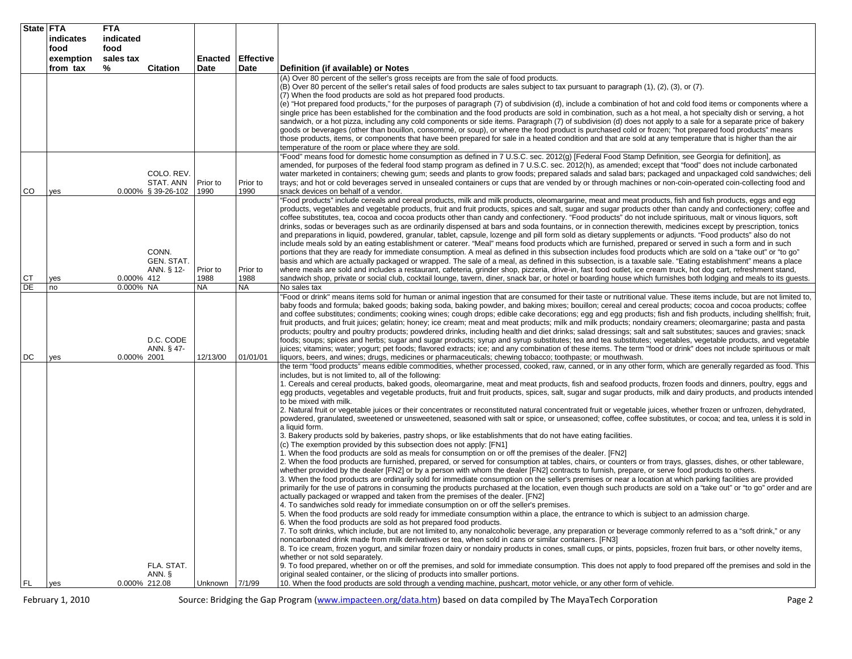| State FTA | indicates | <b>FTA</b><br>indicated |                                    |                  |                          |                                                                                                                                                                                                                                                                                                                                       |
|-----------|-----------|-------------------------|------------------------------------|------------------|--------------------------|---------------------------------------------------------------------------------------------------------------------------------------------------------------------------------------------------------------------------------------------------------------------------------------------------------------------------------------|
|           | food      | food                    |                                    |                  |                          |                                                                                                                                                                                                                                                                                                                                       |
|           | exemption | sales tax               |                                    |                  | <b>Enacted Effective</b> |                                                                                                                                                                                                                                                                                                                                       |
|           | from tax  | ℅                       | <b>Citation</b>                    | Date             | Date                     | Definition (if available) or Notes<br>(A) Over 80 percent of the seller's gross receipts are from the sale of food products.                                                                                                                                                                                                          |
|           |           |                         |                                    |                  |                          | (B) Over 80 percent of the seller's retail sales of food products are sales subject to tax pursuant to paragraph (1), (2), (3), or (7).                                                                                                                                                                                               |
|           |           |                         |                                    |                  |                          | (7) When the food products are sold as hot prepared food products.                                                                                                                                                                                                                                                                    |
|           |           |                         |                                    |                  |                          | (e) "Hot prepared food products," for the purposes of paragraph (7) of subdivision (d), include a combination of hot and cold food items or components where a<br>single price has been established for the combination and the food products are sold in combination, such as a hot meal, a hot specialty dish or serving, a hot     |
|           |           |                         |                                    |                  |                          | sandwich, or a hot pizza, including any cold components or side items. Paragraph (7) of subdivision (d) does not apply to a sale for a separate price of bakery                                                                                                                                                                       |
|           |           |                         |                                    |                  |                          | goods or beverages (other than bouillon, consommé, or soup), or where the food product is purchased cold or frozen; "hot prepared food products" means<br>those products, items, or components that have been prepared for sale in a heated condition and that are sold at any temperature that is higher than the air                |
|           |           |                         |                                    |                  |                          | temperature of the room or place where they are sold.                                                                                                                                                                                                                                                                                 |
|           |           |                         |                                    |                  |                          | 'Food" means food for domestic home consumption as defined in 7 U.S.C. sec. 2012(g) [Federal Food Stamp Definition, see Georgia for definition], as<br>amended, for purposes of the federal food stamp program as defined in 7 U.S.C. sec. 2012(h), as amended; except that "food" does not include carbonated                        |
|           |           |                         | COLO. REV.                         |                  |                          | water marketed in containers; chewing gum; seeds and plants to grow foods; prepared salads and salad bars; packaged and unpackaged cold sandwiches; deli                                                                                                                                                                              |
| CO        | yes       |                         | STAT. ANN<br>$0.000\%$ § 39-26-102 | Prior to<br>1990 | Prior to<br>1990         | trays; and hot or cold beverages served in unsealed containers or cups that are vended by or through machines or non-coin-operated coin-collecting food and<br>snack devices on behalf of a vendor.                                                                                                                                   |
|           |           |                         |                                    |                  |                          | "Food products" include cereals and cereal products, milk and milk products, oleomargarine, meat and meat products, fish and fish products, eggs and egg                                                                                                                                                                              |
|           |           |                         |                                    |                  |                          | products, vegetables and vegetable products, fruit and fruit products, spices and salt, sugar and sugar products other than candy and confectionery; coffee and<br>coffee substitutes, tea, cocoa and cocoa products other than candy and confectionery. "Food products" do not include spirituous, malt or vinous liquors, soft      |
|           |           |                         |                                    |                  |                          | drinks, sodas or beverages such as are ordinarily dispensed at bars and soda fountains, or in connection therewith, medicines except by prescription, tonics                                                                                                                                                                          |
|           |           |                         |                                    |                  |                          | and preparations in liquid, powdered, granular, tablet, capsule, lozenge and pill form sold as dietary supplements or adjuncts. "Food products" also do not<br>include meals sold by an eating establishment or caterer. "Meal" means food products which are furnished, prepared or served in such a form and in such                |
|           |           |                         | CONN.                              |                  |                          | portions that they are ready for immediate consumption. A meal as defined in this subsection includes food products which are sold on a "take out" or "to go"                                                                                                                                                                         |
|           |           |                         | <b>GEN. STAT.</b><br>ANN. § 12-    | Prior to         | Prior to                 | basis and which are actually packaged or wrapped. The sale of a meal, as defined in this subsection, is a taxable sale. "Eating establishment" means a place<br>where meals are sold and includes a restaurant, cafeteria, grinder shop, pizzeria, drive-in, fast food outlet, ice cream truck, hot dog cart, refreshment stand,      |
| СT        | yes       | 0.000% 412              |                                    | 1988             | 1988                     | sandwich shop, private or social club, cocktail lounge, tavern, diner, snack bar, or hotel or boarding house which furnishes both lodging and meals to its guests.                                                                                                                                                                    |
| DE        | no        | 0.000% NA               |                                    | <b>NA</b>        | <b>NA</b>                | No sales tax<br>'Food or drink" means items sold for human or animal ingestion that are consumed for their taste or nutritional value. These items include, but are not limited to,                                                                                                                                                   |
|           |           |                         |                                    |                  |                          | baby foods and formula; baked goods; baking soda, baking powder, and baking mixes; bouillon; cereal and cereal products; cocoa and cocoa products; coffee                                                                                                                                                                             |
|           |           |                         |                                    |                  |                          | and coffee substitutes; condiments; cooking wines; cough drops; edible cake decorations; egg and egg products; fish and fish products, including shellfish; fruit,<br>fruit products, and fruit juices; gelatin; honey; ice cream; meat and meat products; milk and milk products; nondairy creamers; oleomargarine; pasta and pasta  |
|           |           |                         |                                    |                  |                          | products; poultry and poultry products; powdered drinks, including health and diet drinks; salad dressings; salt and salt substitutes; sauces and gravies; snack                                                                                                                                                                      |
|           |           |                         | D.C. CODE<br>ANN. § 47-            |                  |                          | foods; soups; spices and herbs; sugar and sugar products; syrup and syrup substitutes; tea and tea substitutes; vegetables, vegetable products, and vegetable<br>juices; vitamins; water; yogurt; pet foods; flavored extracts; ice; and any combination of these items. The term "food or drink" does not include spirituous or malt |
| DC        | yes       | 0.000% 2001             |                                    | 12/13/00         | 01/01/01                 | liquors, beers, and wines; drugs, medicines or pharmaceuticals; chewing tobacco; toothpaste; or mouthwash.                                                                                                                                                                                                                            |
|           |           |                         |                                    |                  |                          | the term "food products" means edible commodities, whether processed, cooked, raw, canned, or in any other form, which are generally regarded as food. This<br>includes, but is not limited to, all of the following:                                                                                                                 |
|           |           |                         |                                    |                  |                          | 1. Cereals and cereal products, baked goods, oleomargarine, meat and meat products, fish and seafood products, frozen foods and dinners, poultry, eggs and                                                                                                                                                                            |
|           |           |                         |                                    |                  |                          | egg products, vegetables and vegetable products, fruit and fruit products, spices, salt, sugar and sugar products, milk and dairy products, and products intended<br>to be mixed with milk.                                                                                                                                           |
|           |           |                         |                                    |                  |                          | 2. Natural fruit or vegetable juices or their concentrates or reconstituted natural concentrated fruit or vegetable juices, whether frozen or unfrozen, dehydrated,                                                                                                                                                                   |
|           |           |                         |                                    |                  |                          | powdered, granulated, sweetened or unsweetened, seasoned with salt or spice, or unseasoned; coffee, coffee substitutes, or cocoa; and tea, unless it is sold in<br>a liquid form.                                                                                                                                                     |
|           |           |                         |                                    |                  |                          | 3. Bakery products sold by bakeries, pastry shops, or like establishments that do not have eating facilities.<br>(c) The exemption provided by this subsection does not apply: [FN1]                                                                                                                                                  |
|           |           |                         |                                    |                  |                          | 1. When the food products are sold as meals for consumption on or off the premises of the dealer. [FN2]<br>2. When the food products are furnished, prepared, or served for consumption at tables, chairs, or counters or from trays, glasses, dishes, or other tableware,                                                            |
|           |           |                         |                                    |                  |                          | whether provided by the dealer [FN2] or by a person with whom the dealer [FN2] contracts to furnish, prepare, or serve food products to others.                                                                                                                                                                                       |
|           |           |                         |                                    |                  |                          | 3. When the food products are ordinarily sold for immediate consumption on the seller's premises or near a location at which parking facilities are provided<br>primarily for the use of patrons in consuming the products purchased at the location, even though such products are sold on a "take out" or "to go" order and are     |
|           |           |                         |                                    |                  |                          | actually packaged or wrapped and taken from the premises of the dealer. [FN2]                                                                                                                                                                                                                                                         |
|           |           |                         |                                    |                  |                          | 4. To sandwiches sold ready for immediate consumption on or off the seller's premises.<br>5. When the food products are sold ready for immediate consumption within a place, the entrance to which is subject to an admission charge.                                                                                                 |
|           |           |                         |                                    |                  |                          | 6. When the food products are sold as hot prepared food products.                                                                                                                                                                                                                                                                     |
|           |           |                         |                                    |                  |                          | 7. To soft drinks, which include, but are not limited to, any nonalcoholic beverage, any preparation or beverage commonly referred to as a "soft drink," or any<br>noncarbonated drink made from milk derivatives or tea, when sold in cans or similar containers. [FN3]                                                              |
|           |           |                         |                                    |                  |                          | 8. To ice cream, frozen yogurt, and similar frozen dairy or nondairy products in cones, small cups, or pints, popsicles, frozen fruit bars, or other novelty items,                                                                                                                                                                   |
|           |           |                         |                                    |                  |                          | whether or not sold separately.                                                                                                                                                                                                                                                                                                       |
|           |           |                         | FLA. STAT.<br>ANN. §               |                  |                          | 9. To food prepared, whether on or off the premises, and sold for immediate consumption. This does not apply to food prepared off the premises and sold in the<br>original sealed container, or the slicing of products into smaller portions.                                                                                        |
| FL.       | yes       | 0.000% 212.08           |                                    | Unknown          | 7/1/99                   | 10. When the food products are sold through a vending machine, pushcart, motor vehicle, or any other form of vehicle.                                                                                                                                                                                                                 |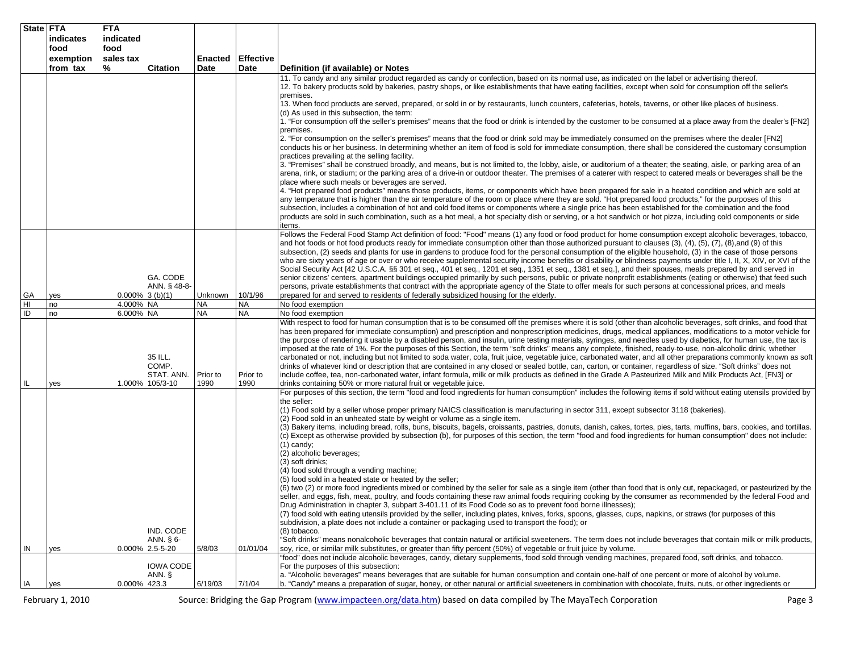|     | State FTA<br>indicates | <b>FTA</b><br>indicated                           |                  |                  |                                                                                                                                                                                                                                                                                                                                                                                                                                                                                                                                                                                                                                                                                                                                                                                                                                                                                                                                                                                                                                                                                                                                                                                                                                                                                                                                                                                                                                                                                                                                                                                                                                                                                                                                                                                                                                                                                                                                                                                                                                                                                                                                                                                     |
|-----|------------------------|---------------------------------------------------|------------------|------------------|-------------------------------------------------------------------------------------------------------------------------------------------------------------------------------------------------------------------------------------------------------------------------------------------------------------------------------------------------------------------------------------------------------------------------------------------------------------------------------------------------------------------------------------------------------------------------------------------------------------------------------------------------------------------------------------------------------------------------------------------------------------------------------------------------------------------------------------------------------------------------------------------------------------------------------------------------------------------------------------------------------------------------------------------------------------------------------------------------------------------------------------------------------------------------------------------------------------------------------------------------------------------------------------------------------------------------------------------------------------------------------------------------------------------------------------------------------------------------------------------------------------------------------------------------------------------------------------------------------------------------------------------------------------------------------------------------------------------------------------------------------------------------------------------------------------------------------------------------------------------------------------------------------------------------------------------------------------------------------------------------------------------------------------------------------------------------------------------------------------------------------------------------------------------------------------|
|     | food                   | food                                              |                  |                  |                                                                                                                                                                                                                                                                                                                                                                                                                                                                                                                                                                                                                                                                                                                                                                                                                                                                                                                                                                                                                                                                                                                                                                                                                                                                                                                                                                                                                                                                                                                                                                                                                                                                                                                                                                                                                                                                                                                                                                                                                                                                                                                                                                                     |
|     | exemption              | sales tax                                         | Enacted          | <b>Effective</b> |                                                                                                                                                                                                                                                                                                                                                                                                                                                                                                                                                                                                                                                                                                                                                                                                                                                                                                                                                                                                                                                                                                                                                                                                                                                                                                                                                                                                                                                                                                                                                                                                                                                                                                                                                                                                                                                                                                                                                                                                                                                                                                                                                                                     |
|     | from tax               | %<br><b>Citation</b>                              | Date             | Date             | Definition (if available) or Notes<br>11. To candy and any similar product regarded as candy or confection, based on its normal use, as indicated on the label or advertising thereof.<br>12. To bakery products sold by bakeries, pastry shops, or like establishments that have eating facilities, except when sold for consumption off the seller's<br>premises.<br>13. When food products are served, prepared, or sold in or by restaurants, lunch counters, cafeterias, hotels, taverns, or other like places of business.<br>(d) As used in this subsection, the term:<br>1. "For consumption off the seller's premises" means that the food or drink is intended by the customer to be consumed at a place away from the dealer's [FN2]<br>premises.<br>2. "For consumption on the seller's premises" means that the food or drink sold may be immediately consumed on the premises where the dealer [FN2]<br>conducts his or her business. In determining whether an item of food is sold for immediate consumption, there shall be considered the customary consumption<br>practices prevailing at the selling facility.<br>3. "Premises" shall be construed broadly, and means, but is not limited to, the lobby, aisle, or auditorium of a theater; the seating, aisle, or parking area of an<br>arena, rink, or stadium; or the parking area of a drive-in or outdoor theater. The premises of a caterer with respect to catered meals or beverages shall be the<br>place where such meals or beverages are served.<br>4. "Hot prepared food products" means those products, items, or components which have been prepared for sale in a heated condition and which are sold at<br>any temperature that is higher than the air temperature of the room or place where they are sold. "Hot prepared food products," for the purposes of this<br>subsection, includes a combination of hot and cold food items or components where a single price has been established for the combination and the food<br>products are sold in such combination, such as a hot meal, a hot specialty dish or serving, or a hot sandwich or hot pizza, including cold components or side |
| GA  | yes                    | GA. CODE<br>ANN. § 48-8-<br>$0.000\%$ 3 (b)(1)    | Unknown          | 10/1/96          | items.<br>Follows the Federal Food Stamp Act definition of food: "Food" means (1) any food or food product for home consumption except alcoholic beverages, tobacco,<br>and hot foods or hot food products ready for immediate consumption other than those authorized pursuant to clauses (3), (4), (5), (7), (8),and (9) of this<br>subsection, (2) seeds and plants for use in gardens to produce food for the personal consumption of the eligible household, (3) in the case of those persons<br>who are sixty years of age or over or who receive supplemental security income benefits or disability or blindness payments under title I, II, X, XIV, or XVI of the<br>Social Security Act [42 U.S.C.A. §§ 301 et seq., 401 et seq., 1201 et seq., 1351 et seq., 1381 et seq.], and their spouses, meals prepared by and served in<br>senior citizens' centers, apartment buildings occupied primarily by such persons, public or private nonprofit establishments (eating or otherwise) that feed such<br>persons, private establishments that contract with the appropriate agency of the State to offer meals for such persons at concessional prices, and meals<br>prepared for and served to residents of federally subsidized housing for the elderly.                                                                                                                                                                                                                                                                                                                                                                                                                                                                                                                                                                                                                                                                                                                                                                                                                                                                                                                 |
| HI  | no                     | 4.000% NA                                         | <b>NA</b>        | <b>NA</b>        | No food exemption                                                                                                                                                                                                                                                                                                                                                                                                                                                                                                                                                                                                                                                                                                                                                                                                                                                                                                                                                                                                                                                                                                                                                                                                                                                                                                                                                                                                                                                                                                                                                                                                                                                                                                                                                                                                                                                                                                                                                                                                                                                                                                                                                                   |
| ID  | no                     | 6.000% NA                                         | <b>NA</b>        | <b>NA</b>        | No food exemption                                                                                                                                                                                                                                                                                                                                                                                                                                                                                                                                                                                                                                                                                                                                                                                                                                                                                                                                                                                                                                                                                                                                                                                                                                                                                                                                                                                                                                                                                                                                                                                                                                                                                                                                                                                                                                                                                                                                                                                                                                                                                                                                                                   |
| IL. | yes                    | 35 ILL.<br>COMP.<br>STAT. ANN.<br>1.000% 105/3-10 | Prior to<br>1990 | Prior to<br>1990 | With respect to food for human consumption that is to be consumed off the premises where it is sold (other than alcoholic beverages, soft drinks, and food that<br>has been prepared for immediate consumption) and prescription and nonprescription medicines, drugs, medical appliances, modifications to a motor vehicle for<br>the purpose of rendering it usable by a disabled person, and insulin, urine testing materials, syringes, and needles used by diabetics, for human use, the tax is<br>imposed at the rate of 1%. For the purposes of this Section, the term "soft drinks" means any complete, finished, ready-to-use, non-alcoholic drink, whether<br>carbonated or not, including but not limited to soda water, cola, fruit juice, vegetable juice, carbonated water, and all other preparations commonly known as soft<br>drinks of whatever kind or description that are contained in any closed or sealed bottle, can, carton, or container, regardless of size. "Soft drinks" does not<br>include coffee, tea, non-carbonated water, infant formula, milk or milk products as defined in the Grade A Pasteurized Milk and Milk Products Act, [FN3] or<br>drinks containing 50% or more natural fruit or vegetable juice.                                                                                                                                                                                                                                                                                                                                                                                                                                                                                                                                                                                                                                                                                                                                                                                                                                                                                                                                    |
|     |                        |                                                   |                  |                  | For purposes of this section, the term "food and food ingredients for human consumption" includes the following items if sold without eating utensils provided by                                                                                                                                                                                                                                                                                                                                                                                                                                                                                                                                                                                                                                                                                                                                                                                                                                                                                                                                                                                                                                                                                                                                                                                                                                                                                                                                                                                                                                                                                                                                                                                                                                                                                                                                                                                                                                                                                                                                                                                                                   |
|     |                        |                                                   |                  |                  | the seller:<br>(1) Food sold by a seller whose proper primary NAICS classification is manufacturing in sector 311, except subsector 3118 (bakeries).<br>(2) Food sold in an unheated state by weight or volume as a single item.<br>(3) Bakery items, including bread, rolls, buns, biscuits, bagels, croissants, pastries, donuts, danish, cakes, tortes, pies, tarts, muffins, bars, cookies, and tortillas.<br>(c) Except as otherwise provided by subsection (b), for purposes of this section, the term "food and food ingredients for human consumption" does not include:<br>(1) candy;<br>(2) alcoholic beverages;<br>(3) soft drinks;<br>(4) food sold through a vending machine;<br>(5) food sold in a heated state or heated by the seller;<br>(6) two (2) or more food ingredients mixed or combined by the seller for sale as a single item (other than food that is only cut, repackaged, or pasteurized by the<br>seller, and eggs, fish, meat, poultry, and foods containing these raw animal foods requiring cooking by the consumer as recommended by the federal Food and<br>Drug Administration in chapter 3, subpart 3-401.11 of its Food Code so as to prevent food borne illnesses);<br>(7) food sold with eating utensils provided by the seller, including plates, knives, forks, spoons, glasses, cups, napkins, or straws (for purposes of this<br>subdivision, a plate does not include a container or packaging used to transport the food); or                                                                                                                                                                                                                                                                                                                                                                                                                                                                                                                                                                                                                                                                                                        |
|     |                        | IND. CODE<br>ANN. § 6-                            |                  |                  | (8) tobacco.<br>"Soft drinks" means nonalcoholic beverages that contain natural or artificial sweeteners. The term does not include beverages that contain milk or milk products,                                                                                                                                                                                                                                                                                                                                                                                                                                                                                                                                                                                                                                                                                                                                                                                                                                                                                                                                                                                                                                                                                                                                                                                                                                                                                                                                                                                                                                                                                                                                                                                                                                                                                                                                                                                                                                                                                                                                                                                                   |
| IN  | yes                    | 0.000% 2.5-5-20                                   | 5/8/03           | 01/01/04         | soy, rice, or similar milk substitutes, or greater than fifty percent (50%) of vegetable or fruit juice by volume.                                                                                                                                                                                                                                                                                                                                                                                                                                                                                                                                                                                                                                                                                                                                                                                                                                                                                                                                                                                                                                                                                                                                                                                                                                                                                                                                                                                                                                                                                                                                                                                                                                                                                                                                                                                                                                                                                                                                                                                                                                                                  |
|     |                        | <b>IOWA CODE</b><br>ANN. §                        |                  |                  | "food" does not include alcoholic beverages, candy, dietary supplements, food sold through vending machines, prepared food, soft drinks, and tobacco.<br>For the purposes of this subsection:<br>a. "Alcoholic beverages" means beverages that are suitable for human consumption and contain one-half of one percent or more of alcohol by volume.                                                                                                                                                                                                                                                                                                                                                                                                                                                                                                                                                                                                                                                                                                                                                                                                                                                                                                                                                                                                                                                                                                                                                                                                                                                                                                                                                                                                                                                                                                                                                                                                                                                                                                                                                                                                                                 |
| IA  | yes                    | 0.000% 423.3                                      | 6/19/03          | 7/1/04           | b. "Candy" means a preparation of sugar, honey, or other natural or artificial sweeteners in combination with chocolate, fruits, nuts, or other ingredients or                                                                                                                                                                                                                                                                                                                                                                                                                                                                                                                                                                                                                                                                                                                                                                                                                                                                                                                                                                                                                                                                                                                                                                                                                                                                                                                                                                                                                                                                                                                                                                                                                                                                                                                                                                                                                                                                                                                                                                                                                      |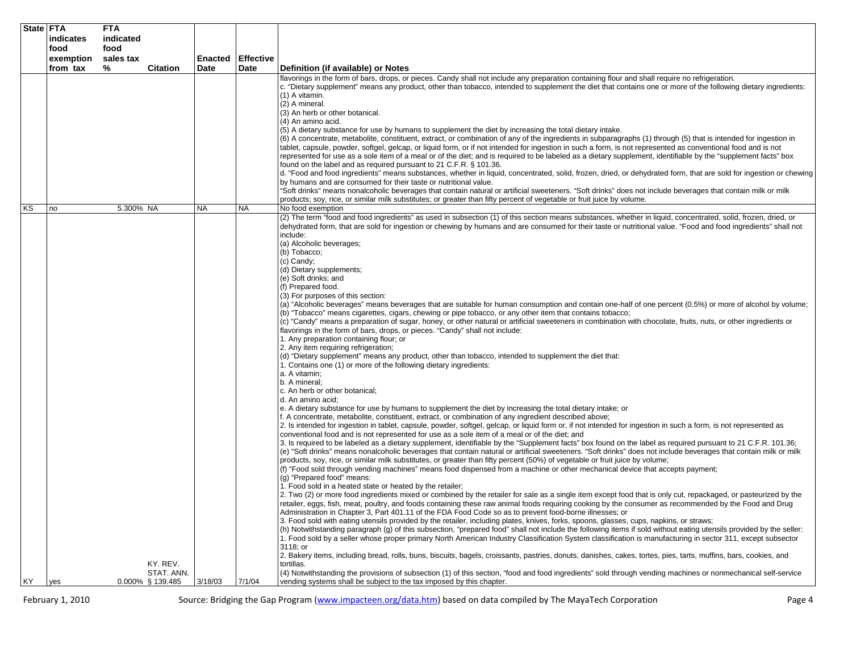|    | State FTA         | <b>FTA</b>        |                                |           |                  |                                                                                                                                                                                                                                                                                                                                                                                                                                                                                                                                                                                                                                                                                                                                                                                                                                                                                                                                                                                                                                                                                                                                                                                                                                                                                                                                                                                                                                                                                                                                                                                                                                                                                                                                                                                                                                                                                                                                                                                                                                                                                                                                                                                                                                                                                                                                                                                                                                                                                                                                                                                                                                                                                                                                                                                                                                                                                                                                                                                                                                                                                                                                                                                                                                                                                                                                                                                                                                                                                                                                                                                                                                                                                                                     |
|----|-------------------|-------------------|--------------------------------|-----------|------------------|---------------------------------------------------------------------------------------------------------------------------------------------------------------------------------------------------------------------------------------------------------------------------------------------------------------------------------------------------------------------------------------------------------------------------------------------------------------------------------------------------------------------------------------------------------------------------------------------------------------------------------------------------------------------------------------------------------------------------------------------------------------------------------------------------------------------------------------------------------------------------------------------------------------------------------------------------------------------------------------------------------------------------------------------------------------------------------------------------------------------------------------------------------------------------------------------------------------------------------------------------------------------------------------------------------------------------------------------------------------------------------------------------------------------------------------------------------------------------------------------------------------------------------------------------------------------------------------------------------------------------------------------------------------------------------------------------------------------------------------------------------------------------------------------------------------------------------------------------------------------------------------------------------------------------------------------------------------------------------------------------------------------------------------------------------------------------------------------------------------------------------------------------------------------------------------------------------------------------------------------------------------------------------------------------------------------------------------------------------------------------------------------------------------------------------------------------------------------------------------------------------------------------------------------------------------------------------------------------------------------------------------------------------------------------------------------------------------------------------------------------------------------------------------------------------------------------------------------------------------------------------------------------------------------------------------------------------------------------------------------------------------------------------------------------------------------------------------------------------------------------------------------------------------------------------------------------------------------------------------------------------------------------------------------------------------------------------------------------------------------------------------------------------------------------------------------------------------------------------------------------------------------------------------------------------------------------------------------------------------------------------------------------------------------------------------------------------------------|
|    | indicates         | indicated         |                                |           |                  |                                                                                                                                                                                                                                                                                                                                                                                                                                                                                                                                                                                                                                                                                                                                                                                                                                                                                                                                                                                                                                                                                                                                                                                                                                                                                                                                                                                                                                                                                                                                                                                                                                                                                                                                                                                                                                                                                                                                                                                                                                                                                                                                                                                                                                                                                                                                                                                                                                                                                                                                                                                                                                                                                                                                                                                                                                                                                                                                                                                                                                                                                                                                                                                                                                                                                                                                                                                                                                                                                                                                                                                                                                                                                                                     |
|    | food<br>exemption | food<br>sales tax |                                | Enacted   | <b>Effective</b> |                                                                                                                                                                                                                                                                                                                                                                                                                                                                                                                                                                                                                                                                                                                                                                                                                                                                                                                                                                                                                                                                                                                                                                                                                                                                                                                                                                                                                                                                                                                                                                                                                                                                                                                                                                                                                                                                                                                                                                                                                                                                                                                                                                                                                                                                                                                                                                                                                                                                                                                                                                                                                                                                                                                                                                                                                                                                                                                                                                                                                                                                                                                                                                                                                                                                                                                                                                                                                                                                                                                                                                                                                                                                                                                     |
|    | from tax          | %                 | <b>Citation</b>                | Date      | Date             | Definition (if available) or Notes                                                                                                                                                                                                                                                                                                                                                                                                                                                                                                                                                                                                                                                                                                                                                                                                                                                                                                                                                                                                                                                                                                                                                                                                                                                                                                                                                                                                                                                                                                                                                                                                                                                                                                                                                                                                                                                                                                                                                                                                                                                                                                                                                                                                                                                                                                                                                                                                                                                                                                                                                                                                                                                                                                                                                                                                                                                                                                                                                                                                                                                                                                                                                                                                                                                                                                                                                                                                                                                                                                                                                                                                                                                                                  |
|    |                   |                   |                                |           |                  | flavorings in the form of bars, drops, or pieces. Candy shall not include any preparation containing flour and shall require no refrigeration.<br>c. "Dietary supplement" means any product, other than tobacco, intended to supplement the diet that contains one or more of the following dietary ingredients:<br>$(1)$ A vitamin.<br>(2) A mineral.<br>(3) An herb or other botanical.<br>(4) An amino acid.                                                                                                                                                                                                                                                                                                                                                                                                                                                                                                                                                                                                                                                                                                                                                                                                                                                                                                                                                                                                                                                                                                                                                                                                                                                                                                                                                                                                                                                                                                                                                                                                                                                                                                                                                                                                                                                                                                                                                                                                                                                                                                                                                                                                                                                                                                                                                                                                                                                                                                                                                                                                                                                                                                                                                                                                                                                                                                                                                                                                                                                                                                                                                                                                                                                                                                     |
|    |                   |                   |                                |           |                  | (5) A dietary substance for use by humans to supplement the diet by increasing the total dietary intake.<br>(6) A concentrate, metabolite, constituent, extract, or combination of any of the ingredients in subparagraphs (1) through (5) that is intended for ingestion in<br>tablet, capsule, powder, softgel, gelcap, or liquid form, or if not intended for ingestion in such a form, is not represented as conventional food and is not<br>represented for use as a sole item of a meal or of the diet; and is required to be labeled as a dietary supplement, identifiable by the "supplement facts" box<br>found on the label and as required pursuant to 21 C.F.R. § 101.36.<br>d. "Food and food ingredients" means substances, whether in liquid, concentrated, solid, frozen, dried, or dehydrated form, that are sold for ingestion or chewing<br>by humans and are consumed for their taste or nutritional value.<br>"Soft drinks" means nonalcoholic beverages that contain natural or artificial sweeteners. "Soft drinks" does not include beverages that contain milk or milk<br>products; soy, rice, or similar milk substitutes; or greater than fifty percent of vegetable or fruit juice by volume.                                                                                                                                                                                                                                                                                                                                                                                                                                                                                                                                                                                                                                                                                                                                                                                                                                                                                                                                                                                                                                                                                                                                                                                                                                                                                                                                                                                                                                                                                                                                                                                                                                                                                                                                                                                                                                                                                                                                                                                                                                                                                                                                                                                                                                                                                                                                                                                                                                                                                           |
| ΚS | no                | 5.300% NA         |                                | <b>NA</b> | <b>NA</b>        | No food exemption                                                                                                                                                                                                                                                                                                                                                                                                                                                                                                                                                                                                                                                                                                                                                                                                                                                                                                                                                                                                                                                                                                                                                                                                                                                                                                                                                                                                                                                                                                                                                                                                                                                                                                                                                                                                                                                                                                                                                                                                                                                                                                                                                                                                                                                                                                                                                                                                                                                                                                                                                                                                                                                                                                                                                                                                                                                                                                                                                                                                                                                                                                                                                                                                                                                                                                                                                                                                                                                                                                                                                                                                                                                                                                   |
|    |                   |                   |                                |           |                  | (2) The term "food and food ingredients" as used in subsection (1) of this section means substances, whether in liquid, concentrated, solid, frozen, dried, or<br>dehydrated form, that are sold for ingestion or chewing by humans and are consumed for their taste or nutritional value. "Food and food ingredients" shall not<br>include:<br>(a) Alcoholic beverages;<br>(b) Tobacco;<br>(c) Candy;<br>(d) Dietary supplements;<br>(e) Soft drinks; and<br>(f) Prepared food.<br>(3) For purposes of this section:<br>(a) "Alcoholic beverages" means beverages that are suitable for human consumption and contain one-half of one percent (0.5%) or more of alcohol by volume;<br>(b) "Tobacco" means cigarettes, cigars, chewing or pipe tobacco, or any other item that contains tobacco;<br>(c) "Candy" means a preparation of sugar, honey, or other natural or artificial sweeteners in combination with chocolate, fruits, nuts, or other ingredients or<br>flavorings in the form of bars, drops, or pieces. "Candy" shall not include:<br>1. Any preparation containing flour; or<br>2. Any item requiring refrigeration;<br>(d) "Dietary supplement" means any product, other than tobacco, intended to supplement the diet that:<br>1. Contains one (1) or more of the following dietary ingredients:<br>a. A vitamin;<br>b. A mineral;<br>c. An herb or other botanical;<br>d. An amino acid;<br>e. A dietary substance for use by humans to supplement the diet by increasing the total dietary intake; or<br>f. A concentrate, metabolite, constituent, extract, or combination of any ingredient described above;<br>2. Is intended for ingestion in tablet, capsule, powder, softgel, gelcap, or liquid form or, if not intended for ingestion in such a form, is not represented as<br>conventional food and is not represented for use as a sole item of a meal or of the diet; and<br>3. Is required to be labeled as a dietary supplement, identifiable by the "Supplement facts" box found on the label as required pursuant to 21 C.F.R. 101.36;<br>(e) "Soft drinks" means nonalcoholic beverages that contain natural or artificial sweeteners. "Soft drinks" does not include beverages that contain milk or milk<br>products, soy, rice, or similar milk substitutes, or greater than fifty percent (50%) of vegetable or fruit juice by volume;<br>(f) "Food sold through vending machines" means food dispensed from a machine or other mechanical device that accepts payment;<br>(g) "Prepared food" means:<br>1. Food sold in a heated state or heated by the retailer;<br>2. Two (2) or more food ingredients mixed or combined by the retailer for sale as a single item except food that is only cut, repackaged, or pasteurized by the<br>retailer, eggs, fish, meat, poultry, and foods containing these raw animal foods requiring cooking by the consumer as recommended by the Food and Drug<br>Administration in Chapter 3, Part 401.11 of the FDA Food Code so as to prevent food-borne illnesses; or<br>3. Food sold with eating utensils provided by the retailer, including plates, knives, forks, spoons, glasses, cups, napkins, or straws;<br>(h) Notwithstanding paragraph (g) of this subsection, "prepared food" shall not include the following items if sold without eating utensils provided by the seller:<br>1. Food sold by a seller whose proper primary North American Industry Classification System classification is manufacturing in sector 311, except subsector<br>3118: or<br>2. Bakery items, including bread, rolls, buns, biscuits, bagels, croissants, pastries, donuts, danishes, cakes, tortes, pies, tarts, muffins, bars, cookies, and |
|    |                   |                   | KY. REV.                       |           |                  | tortillas.                                                                                                                                                                                                                                                                                                                                                                                                                                                                                                                                                                                                                                                                                                                                                                                                                                                                                                                                                                                                                                                                                                                                                                                                                                                                                                                                                                                                                                                                                                                                                                                                                                                                                                                                                                                                                                                                                                                                                                                                                                                                                                                                                                                                                                                                                                                                                                                                                                                                                                                                                                                                                                                                                                                                                                                                                                                                                                                                                                                                                                                                                                                                                                                                                                                                                                                                                                                                                                                                                                                                                                                                                                                                                                          |
| KY | yes               |                   | STAT. ANN.<br>0.000% § 139.485 | 3/18/03   | 7/1/04           | (4) Notwithstanding the provisions of subsection (1) of this section, "food and food ingredients" sold through vending machines or nonmechanical self-service<br>vending systems shall be subject to the tax imposed by this chapter.                                                                                                                                                                                                                                                                                                                                                                                                                                                                                                                                                                                                                                                                                                                                                                                                                                                                                                                                                                                                                                                                                                                                                                                                                                                                                                                                                                                                                                                                                                                                                                                                                                                                                                                                                                                                                                                                                                                                                                                                                                                                                                                                                                                                                                                                                                                                                                                                                                                                                                                                                                                                                                                                                                                                                                                                                                                                                                                                                                                                                                                                                                                                                                                                                                                                                                                                                                                                                                                                               |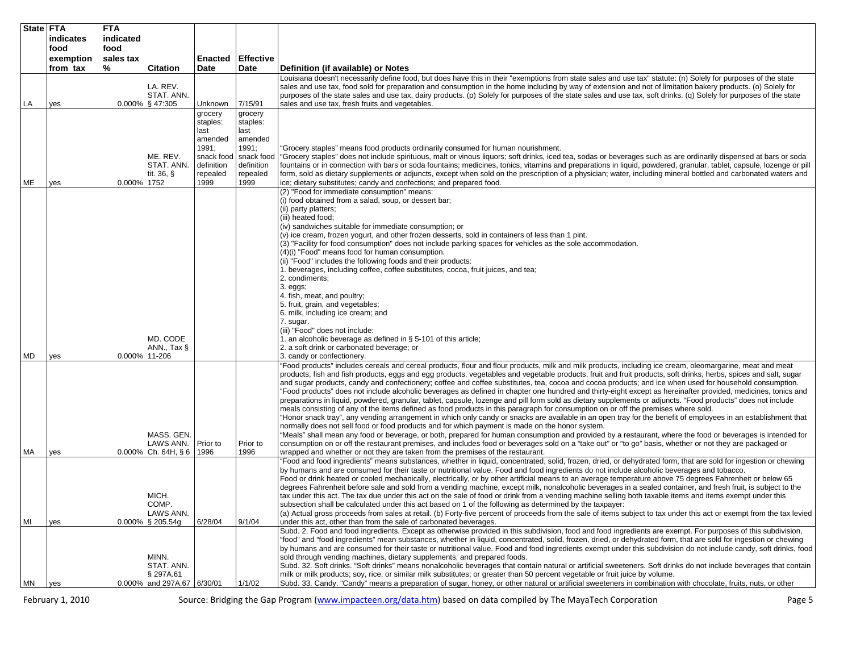| State FTA |           | <b>FTA</b>    |                                         |                                      |                                      |                                                                                                                                                                                                                                                                                                                                                                                                                                                                                                             |
|-----------|-----------|---------------|-----------------------------------------|--------------------------------------|--------------------------------------|-------------------------------------------------------------------------------------------------------------------------------------------------------------------------------------------------------------------------------------------------------------------------------------------------------------------------------------------------------------------------------------------------------------------------------------------------------------------------------------------------------------|
|           | indicates | indicated     |                                         |                                      |                                      |                                                                                                                                                                                                                                                                                                                                                                                                                                                                                                             |
|           | food      | food          |                                         |                                      |                                      |                                                                                                                                                                                                                                                                                                                                                                                                                                                                                                             |
|           | exemption | sales tax     |                                         | <b>Enacted</b>                       | <b>Effective</b>                     |                                                                                                                                                                                                                                                                                                                                                                                                                                                                                                             |
|           | from tax  | %             | <b>Citation</b>                         | Date                                 | Date                                 | Definition (if available) or Notes                                                                                                                                                                                                                                                                                                                                                                                                                                                                          |
|           |           |               | LA. REV.<br>STAT. ANN.                  |                                      |                                      | Louisiana doesn't necessarily define food, but does have this in their "exemptions from state sales and use tax" statute: (n) Solely for purposes of the state<br>sales and use tax, food sold for preparation and consumption in the home including by way of extension and not of limitation bakery products. (o) Solely for<br>purposes of the state sales and use tax, dairy products. (p) Solely for purposes of the state sales and use tax, soft drinks. (q) Solely for purposes of the state        |
| LA        | yes       |               | 0.000% § 47:305                         | Unknown<br>grocery                   | 7/15/91<br>grocery                   | sales and use tax, fresh fruits and vegetables.                                                                                                                                                                                                                                                                                                                                                                                                                                                             |
|           |           |               |                                         | staples:<br>last                     | staples:<br>last                     |                                                                                                                                                                                                                                                                                                                                                                                                                                                                                                             |
|           |           |               |                                         | amended                              | amended                              |                                                                                                                                                                                                                                                                                                                                                                                                                                                                                                             |
|           |           |               |                                         | 1991;                                | 1991;                                | "Grocery staples" means food products ordinarily consumed for human nourishment.                                                                                                                                                                                                                                                                                                                                                                                                                            |
|           |           |               | ME. REV.<br>STAT. ANN.<br>tit. $36, §$  | snack food<br>definition<br>repealed | snack food<br>definition<br>repealed | "Grocery staples" does not include spirituous, malt or vinous liquors; soft drinks, iced tea, sodas or beverages such as are ordinarily dispensed at bars or soda<br>fountains or in connection with bars or soda fountains; medicines, tonics, vitamins and preparations in liquid, powdered, granular, tablet, capsule, lozenge or pill<br>form, sold as dietary supplements or adjuncts, except when sold on the prescription of a physician; water, including mineral bottled and carbonated waters and |
| ME        | yes       | 0.000% 1752   |                                         | 1999                                 | 1999                                 | ice; dietary substitutes; candy and confections; and prepared food.                                                                                                                                                                                                                                                                                                                                                                                                                                         |
|           |           |               |                                         |                                      |                                      | (2) "Food for immediate consumption" means:                                                                                                                                                                                                                                                                                                                                                                                                                                                                 |
|           |           |               |                                         |                                      |                                      | (i) food obtained from a salad, soup, or dessert bar;                                                                                                                                                                                                                                                                                                                                                                                                                                                       |
|           |           |               |                                         |                                      |                                      | (ii) party platters;                                                                                                                                                                                                                                                                                                                                                                                                                                                                                        |
|           |           |               |                                         |                                      |                                      | (iii) heated food;                                                                                                                                                                                                                                                                                                                                                                                                                                                                                          |
|           |           |               |                                         |                                      |                                      | (iv) sandwiches suitable for immediate consumption; or<br>(v) ice cream, frozen yogurt, and other frozen desserts, sold in containers of less than 1 pint.                                                                                                                                                                                                                                                                                                                                                  |
|           |           |               |                                         |                                      |                                      | (3) "Facility for food consumption" does not include parking spaces for vehicles as the sole accommodation.                                                                                                                                                                                                                                                                                                                                                                                                 |
|           |           |               |                                         |                                      |                                      | (4)(i) "Food" means food for human consumption.                                                                                                                                                                                                                                                                                                                                                                                                                                                             |
|           |           |               |                                         |                                      |                                      | (ii) "Food" includes the following foods and their products:                                                                                                                                                                                                                                                                                                                                                                                                                                                |
|           |           |               |                                         |                                      |                                      | 1. beverages, including coffee, coffee substitutes, cocoa, fruit juices, and tea;                                                                                                                                                                                                                                                                                                                                                                                                                           |
|           |           |               |                                         |                                      |                                      | 2. condiments;                                                                                                                                                                                                                                                                                                                                                                                                                                                                                              |
|           |           |               |                                         |                                      |                                      | $3.$ eggs;                                                                                                                                                                                                                                                                                                                                                                                                                                                                                                  |
|           |           |               |                                         |                                      |                                      | 4. fish, meat, and poultry;                                                                                                                                                                                                                                                                                                                                                                                                                                                                                 |
|           |           |               |                                         |                                      |                                      | 5. fruit, grain, and vegetables;<br>6. milk, including ice cream; and                                                                                                                                                                                                                                                                                                                                                                                                                                       |
|           |           |               |                                         |                                      |                                      | 7. sugar.<br>(iii) "Food" does not include:                                                                                                                                                                                                                                                                                                                                                                                                                                                                 |
|           |           |               | MD. CODE                                |                                      |                                      | 1. an alcoholic beverage as defined in $\S$ 5-101 of this article;                                                                                                                                                                                                                                                                                                                                                                                                                                          |
|           |           |               | ANN., Tax $\S$                          |                                      |                                      | 2. a soft drink or carbonated beverage; or                                                                                                                                                                                                                                                                                                                                                                                                                                                                  |
| MD        | yes       | 0.000% 11-206 |                                         |                                      |                                      | 3. candy or confectionery.                                                                                                                                                                                                                                                                                                                                                                                                                                                                                  |
|           |           |               |                                         |                                      |                                      | "Food products" includes cereals and cereal products, flour and flour products, milk and milk products, including ice cream, oleomargarine, meat and meat<br>products, fish and fish products, eggs and egg products, vegetables and vegetable products, fruit and fruit products, soft drinks, herbs, spices and salt, sugar<br>and sugar products, candy and confectionery; coffee and coffee substitutes, tea, cocoa and cocoa products; and ice when used for household consumption.                    |
|           |           |               |                                         |                                      |                                      | 'Food products" does not include alcoholic beverages as defined in chapter one hundred and thirty-eight except as hereinafter provided, medicines, tonics and<br>preparations in liquid, powdered, granular, tablet, capsule, lozenge and pill form sold as dietary supplements or adjuncts. "Food products" does not include                                                                                                                                                                               |
|           |           |               |                                         |                                      |                                      | meals consisting of any of the items defined as food products in this paragraph for consumption on or off the premises where sold.<br>'Honor snack tray", any vending arrangement in which only candy or snacks are available in an open tray for the benefit of employees in an establishment that                                                                                                                                                                                                         |
|           |           |               |                                         |                                      |                                      | normally does not sell food or food products and for which payment is made on the honor system.                                                                                                                                                                                                                                                                                                                                                                                                             |
|           |           |               | MASS, GEN.<br>LAWS ANN.                 | Prior to                             | Prior to                             | "Meals" shall mean any food or beverage, or both, prepared for human consumption and provided by a restaurant, where the food or beverages is intended for<br>consumption on or off the restaurant premises, and includes food or beverages sold on a "take out" or "to go" basis, whether or not they are packaged or                                                                                                                                                                                      |
| MA        | yes       |               | $0.000\%$ Ch. 64H, § 6                  | 1996                                 | 1996                                 | wrapped and whether or not they are taken from the premises of the restaurant.                                                                                                                                                                                                                                                                                                                                                                                                                              |
|           |           |               |                                         |                                      |                                      | "Food and food ingredients" means substances, whether in liquid, concentrated, solid, frozen, dried, or dehydrated form, that are sold for ingestion or chewing                                                                                                                                                                                                                                                                                                                                             |
|           |           |               |                                         |                                      |                                      | by humans and are consumed for their taste or nutritional value. Food and food ingredients do not include alcoholic beverages and tobacco.<br>Food or drink heated or cooled mechanically, electrically, or by other artificial means to an average temperature above 75 degrees Fahrenheit or below 65                                                                                                                                                                                                     |
|           |           |               |                                         |                                      |                                      | degrees Fahrenheit before sale and sold from a vending machine, except milk, nonalcoholic beverages in a sealed container, and fresh fruit, is subject to the                                                                                                                                                                                                                                                                                                                                               |
|           |           |               | MICH.                                   |                                      |                                      | tax under this act. The tax due under this act on the sale of food or drink from a vending machine selling both taxable items and items exempt under this                                                                                                                                                                                                                                                                                                                                                   |
|           |           |               | COMP.                                   |                                      |                                      | subsection shall be calculated under this act based on 1 of the following as determined by the taxpayer:                                                                                                                                                                                                                                                                                                                                                                                                    |
| ΜI        | yes       |               | LAWS ANN.<br>$0.000\%$ § 205.54g        | 6/28/04                              | 9/1/04                               | (a) Actual gross proceeds from sales at retail. (b) Forty-five percent of proceeds from the sale of items subject to tax under this act or exempt from the tax levied<br>under this act, other than from the sale of carbonated beverages.                                                                                                                                                                                                                                                                  |
|           |           |               |                                         |                                      |                                      | Subd. 2. Food and food ingredients. Except as otherwise provided in this subdivision, food and food ingredients are exempt. For purposes of this subdivision,<br>"food" and "food ingredients" mean substances, whether in liquid, concentrated, solid, frozen, dried, or dehydrated form, that are sold for ingestion or chewing                                                                                                                                                                           |
|           |           |               |                                         |                                      |                                      | by humans and are consumed for their taste or nutritional value. Food and food ingredients exempt under this subdivision do not include candy, soft drinks, food                                                                                                                                                                                                                                                                                                                                            |
|           |           |               | MINN.                                   |                                      |                                      | sold through vending machines, dietary supplements, and prepared foods.                                                                                                                                                                                                                                                                                                                                                                                                                                     |
|           |           |               | STAT. ANN.                              |                                      |                                      | Subd. 32. Soft drinks. "Soft drinks" means nonalcoholic beverages that contain natural or artificial sweeteners. Soft drinks do not include beverages that contain                                                                                                                                                                                                                                                                                                                                          |
|           |           |               | § 297A.61<br>0.000% and 297A.67 6/30/01 |                                      | 1/1/02                               | milk or milk products; soy, rice, or similar milk substitutes; or greater than 50 percent vegetable or fruit juice by volume.<br>Subd. 33. Candy. "Candy" means a preparation of sugar, honey, or other natural or artificial sweeteners in combination with chocolate, fruits, nuts, or other                                                                                                                                                                                                              |
| MN        | yes       |               |                                         |                                      |                                      |                                                                                                                                                                                                                                                                                                                                                                                                                                                                                                             |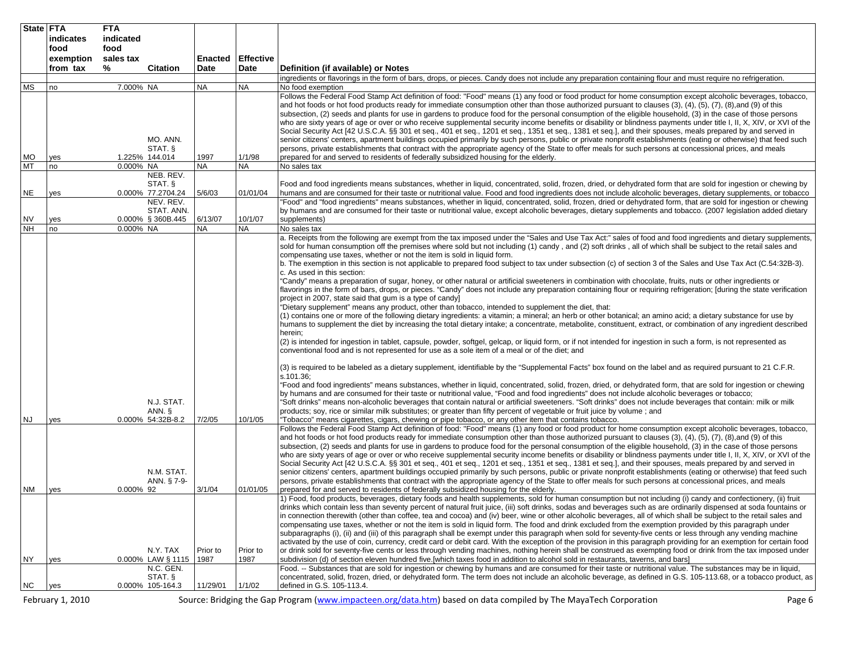| State FTA              |                   | <b>FTA</b>        |                              |               |                      |                                                                                                                                                                                                                                                                                                                                           |
|------------------------|-------------------|-------------------|------------------------------|---------------|----------------------|-------------------------------------------------------------------------------------------------------------------------------------------------------------------------------------------------------------------------------------------------------------------------------------------------------------------------------------------|
|                        | indicates<br>food | indicated<br>food |                              |               |                      |                                                                                                                                                                                                                                                                                                                                           |
|                        | exemption         | sales tax         |                              | Enacted       | <b>Effective</b>     |                                                                                                                                                                                                                                                                                                                                           |
|                        | from tax          | %                 | <b>Citation</b>              | Date          | Date                 | Definition (if available) or Notes                                                                                                                                                                                                                                                                                                        |
|                        |                   |                   |                              |               |                      | ingredients or flavorings in the form of bars, drops, or pieces. Candy does not include any preparation containing flour and must require no refrigeration.                                                                                                                                                                               |
| <b>MS</b>              | no                | 7.000% NA         |                              | NA            | NA                   | No food exemption                                                                                                                                                                                                                                                                                                                         |
|                        |                   |                   |                              |               |                      | Follows the Federal Food Stamp Act definition of food: "Food" means (1) any food or food product for home consumption except alcoholic beverages, tobacco,<br>and hot foods or hot food products ready for immediate consumption other than those authorized pursuant to clauses (3), (4), (5), (7), (8), and (9) of this                 |
|                        |                   |                   |                              |               |                      | subsection, (2) seeds and plants for use in gardens to produce food for the personal consumption of the eligible household, (3) in the case of those persons                                                                                                                                                                              |
|                        |                   |                   |                              |               |                      | who are sixty years of age or over or who receive supplemental security income benefits or disability or blindness payments under title I, II, X, XIV, or XVI of the                                                                                                                                                                      |
|                        |                   |                   |                              |               |                      | Social Security Act [42 U.S.C.A. §§ 301 et seq., 401 et seq., 1201 et seq., 1351 et seq., 1381 et seq.], and their spouses, meals prepared by and served in                                                                                                                                                                               |
|                        |                   |                   | MO. ANN.<br>STAT. §          |               |                      | senior citizens' centers, apartment buildings occupied primarily by such persons, public or private nonprofit establishments (eating or otherwise) that feed such<br>persons, private establishments that contract with the appropriate agency of the State to offer meals for such persons at concessional prices, and meals             |
| <b>MO</b>              | yes               |                   | 1.225% 144.014               | 1997          | 1/1/98               | prepared for and served to residents of federally subsidized housing for the elderly.                                                                                                                                                                                                                                                     |
| <b>MT</b>              | no                | 0.000% NA         |                              | NA            | <b>NA</b>            | No sales tax                                                                                                                                                                                                                                                                                                                              |
|                        |                   |                   | NEB. REV.                    |               |                      |                                                                                                                                                                                                                                                                                                                                           |
| <b>NE</b>              | yes               |                   | STAT. §<br>0.000% 77.2704.24 | 5/6/03        | 01/01/04             | Food and food ingredients means substances, whether in liquid, concentrated, solid, frozen, dried, or dehydrated form that are sold for ingestion or chewing by<br>humans and are consumed for their taste or nutritional value. Food and food ingredients does not include alcoholic beverages, dietary supplements, or tobacco          |
|                        |                   |                   | NEV. REV.                    |               |                      | "Food" and "food ingredients" means substances, whether in liquid, concentrated, solid, frozen, dried or dehydrated form, that are sold for ingestion or chewing                                                                                                                                                                          |
|                        |                   |                   | STAT. ANN.                   |               |                      | by humans and are consumed for their taste or nutritional value, except alcoholic beverages, dietary supplements and tobacco. (2007 legislation added dietary                                                                                                                                                                             |
| <b>NV</b><br><b>NH</b> | yes<br>no         | 0.000% NA         | 0.000% § 360B.445            | 6/13/07<br>NA | 10/1/07<br><b>NA</b> | supplements)<br>No sales tax                                                                                                                                                                                                                                                                                                              |
|                        |                   |                   |                              |               |                      | a. Receipts from the following are exempt from the tax imposed under the "Sales and Use Tax Act:" sales of food and food ingredients and dietary supplements,                                                                                                                                                                             |
|                        |                   |                   |                              |               |                      | sold for human consumption off the premises where sold but not including (1) candy, and (2) soft drinks, all of which shall be subject to the retail sales and                                                                                                                                                                            |
|                        |                   |                   |                              |               |                      | compensating use taxes, whether or not the item is sold in liquid form.<br>b. The exemption in this section is not applicable to prepared food subject to tax under subsection (c) of section 3 of the Sales and Use Tax Act (C.54:32B-3).                                                                                                |
|                        |                   |                   |                              |               |                      | c. As used in this section:                                                                                                                                                                                                                                                                                                               |
|                        |                   |                   |                              |               |                      | "Candy" means a preparation of sugar, honey, or other natural or artificial sweeteners in combination with chocolate, fruits, nuts or other ingredients or                                                                                                                                                                                |
|                        |                   |                   |                              |               |                      | flavorings in the form of bars, drops, or pieces. "Candy" does not include any preparation containing flour or requiring refrigeration; [during the state verification                                                                                                                                                                    |
|                        |                   |                   |                              |               |                      | project in 2007, state said that gum is a type of candy]<br>"Dietary supplement" means any product, other than tobacco, intended to supplement the diet, that:                                                                                                                                                                            |
|                        |                   |                   |                              |               |                      | (1) contains one or more of the following dietary ingredients: a vitamin; a mineral; an herb or other botanical; an amino acid; a dietary substance for use by                                                                                                                                                                            |
|                        |                   |                   |                              |               |                      | humans to supplement the diet by increasing the total dietary intake; a concentrate, metabolite, constituent, extract, or combination of any ingredient described                                                                                                                                                                         |
|                        |                   |                   |                              |               |                      | herein;<br>(2) is intended for ingestion in tablet, capsule, powder, softgel, gelcap, or liquid form, or if not intended for ingestion in such a form, is not represented as                                                                                                                                                              |
|                        |                   |                   |                              |               |                      | conventional food and is not represented for use as a sole item of a meal or of the diet; and                                                                                                                                                                                                                                             |
|                        |                   |                   |                              |               |                      | (3) is required to be labeled as a dietary supplement, identifiable by the "Supplemental Facts" box found on the label and as required pursuant to 21 C.F.R.<br>s.101.36;                                                                                                                                                                 |
|                        |                   |                   |                              |               |                      | "Food and food ingredients" means substances, whether in liquid, concentrated, solid, frozen, dried, or dehydrated form, that are sold for ingestion or chewing                                                                                                                                                                           |
|                        |                   |                   |                              |               |                      | by humans and are consumed for their taste or nutritional value, "Food and food ingredients" does not include alcoholic beverages or tobacco;                                                                                                                                                                                             |
|                        |                   |                   | N.J. STAT.<br>ANN. §         |               |                      | "Soft drinks" means non-alcoholic beverages that contain natural or artificial sweeteners. "Soft drinks" does not include beverages that contain: milk or milk<br>products; soy, rice or similar milk substitutes; or greater than fifty percent of vegetable or fruit juice by volume; and                                               |
| <b>NJ</b>              | yes               |                   | 0.000% 54:32B-8.2            | 7/2/05        | 10/1/05              | "Tobacco" means cigarettes, cigars, chewing or pipe tobacco, or any other item that contains tobacco.                                                                                                                                                                                                                                     |
|                        |                   |                   |                              |               |                      | Follows the Federal Food Stamp Act definition of food: "Food" means (1) any food or food product for home consumption except alcoholic beverages, tobacco,                                                                                                                                                                                |
|                        |                   |                   |                              |               |                      | and hot foods or hot food products ready for immediate consumption other than those authorized pursuant to clauses (3), (4), (5), (7), (8), and (9) of this<br>subsection, (2) seeds and plants for use in gardens to produce food for the personal consumption of the eligible household, (3) in the case of those persons               |
|                        |                   |                   |                              |               |                      | who are sixty years of age or over or who receive supplemental security income benefits or disability or blindness payments under title I. II, X, XIV, or XVI of the                                                                                                                                                                      |
|                        |                   |                   |                              |               |                      | Social Security Act [42 U.S.C.A. §§ 301 et seq., 401 et seq., 1201 et seq., 1351 et seq., 1381 et seq.], and their spouses, meals prepared by and served in                                                                                                                                                                               |
|                        |                   |                   | N.M. STAT.<br>ANN. § 7-9-    |               |                      | senior citizens' centers, apartment buildings occupied primarily by such persons, public or private nonprofit establishments (eating or otherwise) that feed such<br>persons, private establishments that contract with the appropriate agency of the State to offer meals for such persons at concessional prices, and meals             |
| <b>NM</b>              | yes               | 0.000% 92         |                              | 3/1/04        | 01/01/05             | prepared for and served to residents of federally subsidized housing for the elderly.                                                                                                                                                                                                                                                     |
|                        |                   |                   |                              |               |                      | 1) Food, food products, beverages, dietary foods and health supplements, sold for human consumption but not including (i) candy and confectionery, (ii) fruit                                                                                                                                                                             |
|                        |                   |                   |                              |               |                      | drinks which contain less than seventy percent of natural fruit juice, (iii) soft drinks, sodas and beverages such as are ordinarily dispensed at soda fountains or<br>in connection therewith (other than coffee, tea and cocoa) and (iv) beer, wine or other alcoholic beverages, all of which shall be subject to the retail sales and |
|                        |                   |                   |                              |               |                      | compensating use taxes, whether or not the item is sold in liquid form. The food and drink excluded from the exemption provided by this paragraph under                                                                                                                                                                                   |
|                        |                   |                   |                              |               |                      | subparagraphs (i), (ii) and (iii) of this paragraph shall be exempt under this paragraph when sold for seventy-five cents or less through any vending machine                                                                                                                                                                             |
|                        |                   |                   | N.Y. TAX                     | Prior to      | Prior to             | activated by the use of coin, currency, credit card or debit card. With the exception of the provision in this paragraph providing for an exemption for certain food<br>or drink sold for seventy-five cents or less through vending machines, nothing herein shall be construed as exempting food or drink from the tax imposed under    |
| <b>NY</b>              | yes               |                   | 0.000% LAW § 1115            | 1987          | 1987                 | subdivision (d) of section eleven hundred five.[which taxes food in addition to alcohol sold in restaurants, taverns, and bars]                                                                                                                                                                                                           |
|                        |                   |                   | N.C. GEN.                    |               |                      | Food. -- Substances that are sold for ingestion or chewing by humans and are consumed for their taste or nutritional value. The substances may be in liquid,                                                                                                                                                                              |
| NC                     | yes               |                   | STAT. §<br>0.000% 105-164.3  | 11/29/01      | 1/1/02               | concentrated, solid, frozen, dried, or dehydrated form. The term does not include an alcoholic beverage, as defined in G.S. 105-113.68, or a tobacco product, as<br>defined in G.S. 105-113.4.                                                                                                                                            |
|                        |                   |                   |                              |               |                      |                                                                                                                                                                                                                                                                                                                                           |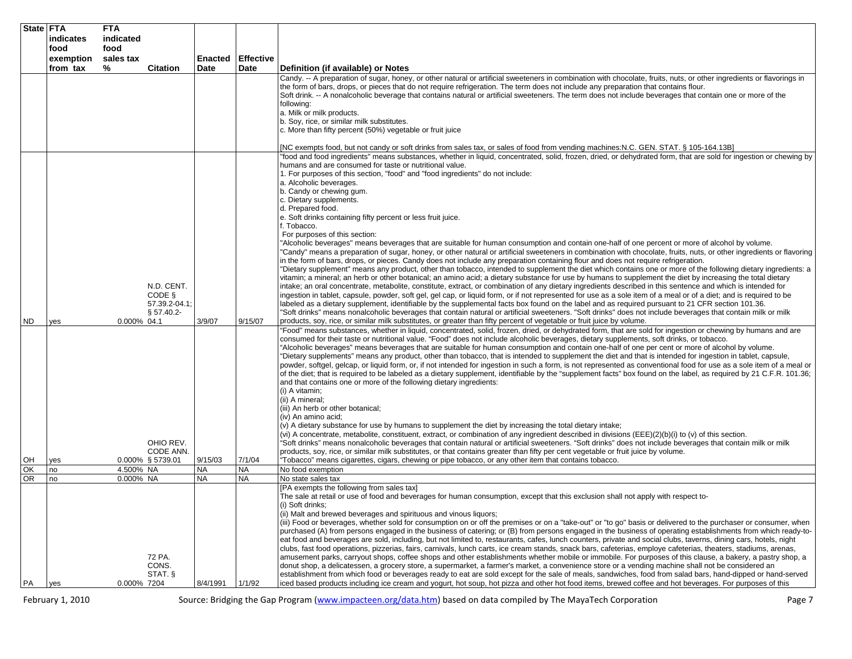| State FTA | indicates         | <b>FTA</b><br>indicated |                                       |                      |                     |                                                                                                                                                                                                                                                                                                                                                                                                                                                                                                                                                                                                                                                                                                                                                                                                                                                                                                                                                                                                                                                                                                                                                                                                                                                                                                                                                                                                                                                                                                                                                                                                                                                                                                                                  |
|-----------|-------------------|-------------------------|---------------------------------------|----------------------|---------------------|----------------------------------------------------------------------------------------------------------------------------------------------------------------------------------------------------------------------------------------------------------------------------------------------------------------------------------------------------------------------------------------------------------------------------------------------------------------------------------------------------------------------------------------------------------------------------------------------------------------------------------------------------------------------------------------------------------------------------------------------------------------------------------------------------------------------------------------------------------------------------------------------------------------------------------------------------------------------------------------------------------------------------------------------------------------------------------------------------------------------------------------------------------------------------------------------------------------------------------------------------------------------------------------------------------------------------------------------------------------------------------------------------------------------------------------------------------------------------------------------------------------------------------------------------------------------------------------------------------------------------------------------------------------------------------------------------------------------------------|
|           | food<br>exemption | food<br>sales tax       |                                       | Enacted              | <b>Effective</b>    |                                                                                                                                                                                                                                                                                                                                                                                                                                                                                                                                                                                                                                                                                                                                                                                                                                                                                                                                                                                                                                                                                                                                                                                                                                                                                                                                                                                                                                                                                                                                                                                                                                                                                                                                  |
|           | from tax          | %                       | <b>Citation</b>                       | <b>Date</b>          | Date                | Definition (if available) or Notes                                                                                                                                                                                                                                                                                                                                                                                                                                                                                                                                                                                                                                                                                                                                                                                                                                                                                                                                                                                                                                                                                                                                                                                                                                                                                                                                                                                                                                                                                                                                                                                                                                                                                               |
|           |                   |                         |                                       |                      |                     | Candy. -- A preparation of sugar, honey, or other natural or artificial sweeteners in combination with chocolate, fruits, nuts, or other ingredients or flavorings in<br>the form of bars, drops, or pieces that do not require refrigeration. The term does not include any preparation that contains flour.<br>Soft drink. -- A nonalcoholic beverage that contains natural or artificial sweeteners. The term does not include beverages that contain one or more of the<br>following:<br>a. Milk or milk products.<br>b. Soy, rice, or similar milk substitutes.<br>c. More than fifty percent (50%) vegetable or fruit juice                                                                                                                                                                                                                                                                                                                                                                                                                                                                                                                                                                                                                                                                                                                                                                                                                                                                                                                                                                                                                                                                                                |
|           |                   |                         |                                       |                      |                     | [NC exempts food, but not candy or soft drinks from sales tax, or sales of food from vending machines:N.C. GEN. STAT. § 105-164.13B]<br>"food and food ingredients" means substances, whether in liquid, concentrated, solid, frozen, dried, or dehydrated form, that are sold for ingestion or chewing by                                                                                                                                                                                                                                                                                                                                                                                                                                                                                                                                                                                                                                                                                                                                                                                                                                                                                                                                                                                                                                                                                                                                                                                                                                                                                                                                                                                                                       |
|           |                   |                         | N.D. CENT.<br>CODE §<br>57.39.2-04.1: |                      |                     | humans and are consumed for taste or nutritional value.<br>1. For purposes of this section, "food" and "food ingredients" do not include:<br>a. Alcoholic beverages.<br>b. Candy or chewing gum.<br>c. Dietary supplements.<br>d. Prepared food.<br>e. Soft drinks containing fifty percent or less fruit juice.<br>f. Tobacco.<br>For purposes of this section:<br>"Alcoholic beverages" means beverages that are suitable for human consumption and contain one-half of one percent or more of alcohol by volume.<br>"Candy" means a preparation of sugar, honey, or other natural or artificial sweeteners in combination with chocolate, fruits, nuts, or other ingredients or flavoring<br>in the form of bars, drops, or pieces. Candy does not include any preparation containing flour and does not require refrigeration.<br>"Dietary supplement" means any product, other than tobacco, intended to supplement the diet which contains one or more of the following dietary ingredients: a<br>vitamin; a mineral; an herb or other botanical; an amino acid; a dietary substance for use by humans to supplement the diet by increasing the total dietary<br>intake; an oral concentrate, metabolite, constitute, extract, or combination of any dietary ingredients described in this sentence and which is intended for<br>ingestion in tablet, capsule, powder, soft gel, gel cap, or liquid form, or if not represented for use as a sole item of a meal or of a diet; and is required to be<br>labeled as a dietary supplement, identifiable by the supplemental facts box found on the label and as required pursuant to 21 CFR section 101.36.                                                                  |
| ND.       | yes               | 0.000% 04.1             | $§ 57.40.2-$                          | 3/9/07               | 9/15/07             | "Soft drinks" means nonalcoholic beverages that contain natural or artificial sweeteners. "Soft drinks" does not include beverages that contain milk or milk<br>products, soy, rice, or similar milk substitutes, or greater than fifty percent of vegetable or fruit juice by volume.                                                                                                                                                                                                                                                                                                                                                                                                                                                                                                                                                                                                                                                                                                                                                                                                                                                                                                                                                                                                                                                                                                                                                                                                                                                                                                                                                                                                                                           |
|           |                   |                         | OHIO REV.<br>CODE ANN.                |                      |                     | "Food" means substances, whether in liquid, concentrated, solid, frozen, dried, or dehydrated form, that are sold for ingestion or chewing by humans and are<br>consumed for their taste or nutritional value. "Food" does not include alcoholic beverages, dietary supplements, soft drinks, or tobacco.<br>'Alcoholic beverages" means beverages that are suitable for human consumption and contain one-half of one per cent or more of alcohol by volume.<br>"Dietary supplements" means any product, other than tobacco, that is intended to supplement the diet and that is intended for ingestion in tablet, capsule,<br>powder, softgel, gelcap, or liquid form, or, if not intended for ingestion in such a form, is not represented as conventional food for use as a sole item of a meal or<br>of the diet; that is required to be labeled as a dietary supplement, identifiable by the "supplement facts" box found on the label, as required by 21 C.F.R. 101.36;<br>and that contains one or more of the following dietary ingredients:<br>(i) A vitamin;<br>(ii) A mineral;<br>(iii) An herb or other botanical;<br>(iv) An amino acid;<br>(v) A dietary substance for use by humans to supplement the diet by increasing the total dietary intake;<br>(vi) A concentrate, metabolite, constituent, extract, or combination of any ingredient described in divisions (EEE)(2)(b)(i) to (v) of this section.<br>'Soft drinks" means nonalcoholic beverages that contain natural or artificial sweeteners. "Soft drinks" does not include beverages that contain milk or milk<br>products, soy, rice, or similar milk substitutes, or that contains greater than fifty per cent vegetable or fruit juice by volume. |
| OH<br>OK  | yes<br>no         | 4.500% NA               | 0.000% § 5739.01                      | 9/15/03<br><b>NA</b> | 7/1/04<br><b>NA</b> | "Tobacco" means cigarettes, cigars, chewing or pipe tobacco, or any other item that contains tobacco.<br>No food exemption                                                                                                                                                                                                                                                                                                                                                                                                                                                                                                                                                                                                                                                                                                                                                                                                                                                                                                                                                                                                                                                                                                                                                                                                                                                                                                                                                                                                                                                                                                                                                                                                       |
| <b>OR</b> | no                | 0.000% NA               |                                       | <b>NA</b>            | <b>NA</b>           | No state sales tax                                                                                                                                                                                                                                                                                                                                                                                                                                                                                                                                                                                                                                                                                                                                                                                                                                                                                                                                                                                                                                                                                                                                                                                                                                                                                                                                                                                                                                                                                                                                                                                                                                                                                                               |
| PA        |                   | 0.000% 7204             | 72 PA.<br>CONS.<br>STAT. §            | 8/4/1991             | 1/1/92              | [PA exempts the following from sales tax]<br>The sale at retail or use of food and beverages for human consumption, except that this exclusion shall not apply with respect to-<br>(i) Soft drinks;<br>(ii) Malt and brewed beverages and spirituous and vinous liquors;<br>(iii) Food or beverages, whether sold for consumption on or off the premises or on a "take-out" or "to go" basis or delivered to the purchaser or consumer, when<br>purchased (A) from persons engaged in the business of catering; or (B) from persons engaged in the business of operating establishments from which ready-to-<br>eat food and beverages are sold, including, but not limited to, restaurants, cafes, lunch counters, private and social clubs, taverns, dining cars, hotels, night<br>clubs, fast food operations, pizzerias, fairs, carnivals, lunch carts, ice cream stands, snack bars, cafeterias, employe cafeterias, theaters, stadiums, arenas,<br>amusement parks, carryout shops, coffee shops and other establishments whether mobile or immobile. For purposes of this clause, a bakery, a pastry shop, a<br>donut shop, a delicatessen, a grocery store, a supermarket, a farmer's market, a convenience store or a vending machine shall not be considered an<br>establishment from which food or beverages ready to eat are sold except for the sale of meals, sandwiches, food from salad bars, hand-dipped or hand-served<br>iced based products including ice cream and yogurt, hot soup, hot pizza and other hot food items, brewed coffee and hot beverages. For purposes of this                                                                                                                              |
|           | yes               |                         |                                       |                      |                     |                                                                                                                                                                                                                                                                                                                                                                                                                                                                                                                                                                                                                                                                                                                                                                                                                                                                                                                                                                                                                                                                                                                                                                                                                                                                                                                                                                                                                                                                                                                                                                                                                                                                                                                                  |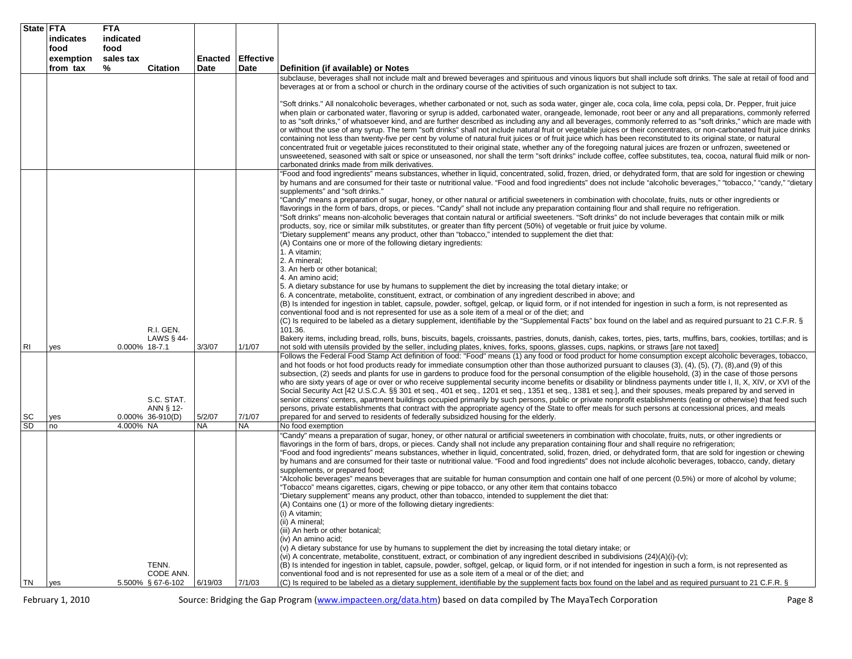| State FTA | indicates             | <b>FTA</b><br>indicated |                                                |                        |                          |                                                                                                                                                                                                                                                                                                                                                                                                                                                                                                                                                                                                                                                                                                                                                                                                                                                                                                                                                                                                                                                                                                                                                                                                                                                                                                                                                                                                                                                                                                                                                                                                                                                                                                                                                                                                                                                                                                                                            |
|-----------|-----------------------|-------------------------|------------------------------------------------|------------------------|--------------------------|--------------------------------------------------------------------------------------------------------------------------------------------------------------------------------------------------------------------------------------------------------------------------------------------------------------------------------------------------------------------------------------------------------------------------------------------------------------------------------------------------------------------------------------------------------------------------------------------------------------------------------------------------------------------------------------------------------------------------------------------------------------------------------------------------------------------------------------------------------------------------------------------------------------------------------------------------------------------------------------------------------------------------------------------------------------------------------------------------------------------------------------------------------------------------------------------------------------------------------------------------------------------------------------------------------------------------------------------------------------------------------------------------------------------------------------------------------------------------------------------------------------------------------------------------------------------------------------------------------------------------------------------------------------------------------------------------------------------------------------------------------------------------------------------------------------------------------------------------------------------------------------------------------------------------------------------|
|           | food                  | food                    |                                                |                        |                          |                                                                                                                                                                                                                                                                                                                                                                                                                                                                                                                                                                                                                                                                                                                                                                                                                                                                                                                                                                                                                                                                                                                                                                                                                                                                                                                                                                                                                                                                                                                                                                                                                                                                                                                                                                                                                                                                                                                                            |
|           | exemption<br>from tax | sales tax<br>%          | <b>Citation</b>                                | Enacted<br><b>Date</b> | <b>Effective</b><br>Date | Definition (if available) or Notes                                                                                                                                                                                                                                                                                                                                                                                                                                                                                                                                                                                                                                                                                                                                                                                                                                                                                                                                                                                                                                                                                                                                                                                                                                                                                                                                                                                                                                                                                                                                                                                                                                                                                                                                                                                                                                                                                                         |
|           |                       |                         |                                                |                        |                          | subclause, beverages shall not include malt and brewed beverages and spirituous and vinous liquors but shall include soft drinks. The sale at retail of food and<br>beverages at or from a school or church in the ordinary course of the activities of such organization is not subject to tax.                                                                                                                                                                                                                                                                                                                                                                                                                                                                                                                                                                                                                                                                                                                                                                                                                                                                                                                                                                                                                                                                                                                                                                                                                                                                                                                                                                                                                                                                                                                                                                                                                                           |
|           |                       |                         |                                                |                        |                          | "Soft drinks." All nonalcoholic beverages, whether carbonated or not, such as soda water, ginger ale, coca cola, lime cola, pepsi cola, Dr. Pepper, fruit juice<br>when plain or carbonated water, flavoring or syrup is added, carbonated water, orangeade, lemonade, root beer or any and all preparations, commonly referred<br>to as "soft drinks," of whatsoever kind, and are further described as including any and all beverages, commonly referred to as "soft drinks," which are made with<br>or without the use of any syrup. The term "soft drinks" shall not include natural fruit or vegetable juices or their concentrates, or non-carbonated fruit juice drinks<br>containing not less than twenty-five per cent by volume of natural fruit juices or of fruit juice which has been reconstituted to its original state, or natural<br>concentrated fruit or vegetable juices reconstituted to their original state, whether any of the foregoing natural juices are frozen or unfrozen, sweetened or<br>unsweetened, seasoned with salt or spice or unseasoned, nor shall the term "soft drinks" include coffee, coffee substitutes, tea, cocoa, natural fluid milk or non-<br>carbonated drinks made from milk derivatives.                                                                                                                                                                                                                                                                                                                                                                                                                                                                                                                                                                                                                                                                                              |
|           |                       |                         | R.I. GEN.                                      |                        |                          | "Food and food ingredients" means substances, whether in liquid, concentrated, solid, frozen, dried, or dehydrated form, that are sold for ingestion or chewing<br>by humans and are consumed for their taste or nutritional value. "Food and food ingredients" does not include "alcoholic beverages," "tobacco," "candy," "dietary<br>supplements" and "soft drinks."<br>"Candy" means a preparation of sugar, honey, or other natural or artificial sweeteners in combination with chocolate, fruits, nuts or other ingredients or<br>flavorings in the form of bars, drops, or pieces. "Candy" shall not include any preparation containing flour and shall require no refrigeration.<br>'Soft drinks" means non-alcoholic beverages that contain natural or artificial sweeteners. "Soft drinks" do not include beverages that contain milk or milk<br>products, soy, rice or similar milk substitutes, or greater than fifty percent (50%) of vegetable or fruit juice by volume.<br>"Dietary supplement" means any product, other than "tobacco," intended to supplement the diet that:<br>(A) Contains one or more of the following dietary ingredients:<br>1. A vitamin;<br>2. A mineral;<br>3. An herb or other botanical;<br>4. An amino acid;<br>5. A dietary substance for use by humans to supplement the diet by increasing the total dietary intake; or<br>6. A concentrate, metabolite, constituent, extract, or combination of any ingredient described in above; and<br>(B) Is intended for ingestion in tablet, capsule, powder, softgel, gelcap, or liquid form, or if not intended for ingestion in such a form, is not represented as<br>conventional food and is not represented for use as a sole item of a meal or of the diet; and<br>(C) Is required to be labeled as a dietary supplement, identifiable by the "Supplemental Facts" box found on the label and as required pursuant to 21 C.F.R. §<br>101.36. |
| RI        | yes                   | 0.000% 18-7.1           | LAWS § 44-                                     | 3/3/07                 | 1/1/07                   | Bakery items, including bread, rolls, buns, biscuits, bagels, croissants, pastries, donuts, danish, cakes, tortes, pies, tarts, muffins, bars, cookies, tortillas; and is<br>not sold with utensils provided by the seller, including plates, knives, forks, spoons, glasses, cups, napkins, or straws [are not taxed]                                                                                                                                                                                                                                                                                                                                                                                                                                                                                                                                                                                                                                                                                                                                                                                                                                                                                                                                                                                                                                                                                                                                                                                                                                                                                                                                                                                                                                                                                                                                                                                                                     |
| SC        | yes                   |                         | S.C. STAT.<br>ANN § 12-<br>$0.000\%$ 36-910(D) | 5/2/07                 | 7/1/07                   | Follows the Federal Food Stamp Act definition of food: "Food" means (1) any food or food product for home consumption except alcoholic beverages, tobacco,<br>and hot foods or hot food products ready for immediate consumption other than those authorized pursuant to clauses (3), (4), (5), (7), (8),and (9) of this<br>subsection, (2) seeds and plants for use in gardens to produce food for the personal consumption of the eligible household, (3) in the case of those persons<br>who are sixty years of age or over or who receive supplemental security income benefits or disability or blindness payments under title I, II, X, XIV, or XVI of the<br>Social Security Act [42 U.S.C.A. §§ 301 et seq., 401 et seq., 1201 et seq., 1351 et seq., 1381 et seq.], and their spouses, meals prepared by and served in<br>senior citizens' centers, apartment buildings occupied primarily by such persons, public or private nonprofit establishments (eating or otherwise) that feed such<br>persons, private establishments that contract with the appropriate agency of the State to offer meals for such persons at concessional prices, and meals<br>prepared for and served to residents of federally subsidized housing for the elderly.                                                                                                                                                                                                                                                                                                                                                                                                                                                                                                                                                                                                                                                                                  |
| SD        | no                    | 4.000% NA               |                                                | <b>NA</b>              | <b>NA</b>                | No food exemption                                                                                                                                                                                                                                                                                                                                                                                                                                                                                                                                                                                                                                                                                                                                                                                                                                                                                                                                                                                                                                                                                                                                                                                                                                                                                                                                                                                                                                                                                                                                                                                                                                                                                                                                                                                                                                                                                                                          |
|           |                       |                         | TENN.<br>CODE ANN.                             |                        |                          | "Candy" means a preparation of sugar, honey, or other natural or artificial sweeteners in combination with chocolate, fruits, nuts, or other ingredients or<br>flavorings in the form of bars, drops, or pieces. Candy shall not include any preparation containing flour and shall require no refrigeration;<br>"Food and food ingredients" means substances, whether in liquid, concentrated, solid, frozen, dried, or dehydrated form, that are sold for ingestion or chewing<br>by humans and are consumed for their taste or nutritional value. "Food and food ingredients" does not include alcoholic beverages, tobacco, candy, dietary<br>supplements, or prepared food;<br>'Alcoholic beverages" means beverages that are suitable for human consumption and contain one half of one percent (0.5%) or more of alcohol by volume;<br>Tobacco" means cigarettes, cigars, chewing or pipe tobacco, or any other item that contains tobacco<br>"Dietary supplement" means any product, other than tobacco, intended to supplement the diet that:<br>(A) Contains one (1) or more of the following dietary ingredients:<br>(i) A vitamin;<br>(ii) A mineral;<br>(iii) An herb or other botanical;<br>(iv) An amino acid;<br>(v) A dietary substance for use by humans to supplement the diet by increasing the total dietary intake; or<br>(vi) A concentrate, metabolite, constituent, extract, or combination of any ingredient described in subdivisions (24)(A)(i)-(v);<br>(B) Is intended for ingestion in tablet, capsule, powder, softgel, gelcap, or liquid form, or if not intended for ingestion in such a form, is not represented as<br>conventional food and is not represented for use as a sole item of a meal or of the diet; and                                                                                                                                                                                     |
| TN        | yes                   |                         | 5.500% § 67-6-102                              | 6/19/03                | 7/1/03                   | (C) Is required to be labeled as a dietary supplement, identifiable by the supplement facts box found on the label and as required pursuant to 21 C.F.R. §                                                                                                                                                                                                                                                                                                                                                                                                                                                                                                                                                                                                                                                                                                                                                                                                                                                                                                                                                                                                                                                                                                                                                                                                                                                                                                                                                                                                                                                                                                                                                                                                                                                                                                                                                                                 |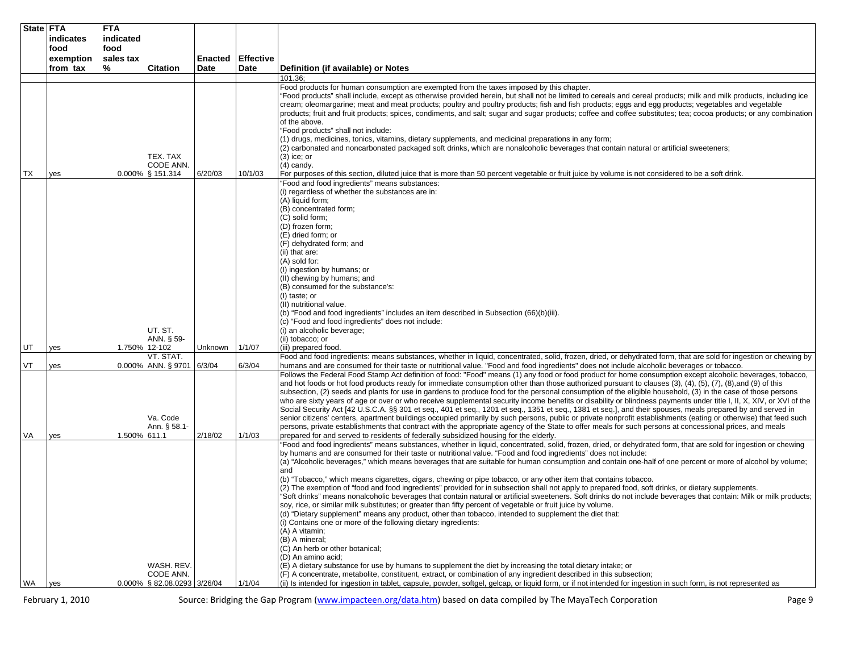|     | State FTA<br>indicates | <b>FTA</b><br>indicated |                                                        |                        |                          |                                                                                                                                                                                                                                                                                                                                                                                                                                                                                                                                                                                                                                                                                                                                                                                                                                                                                                                                                                                                                                                                                                                                                                                                                                                                                                                                                                                                                                                                                                                                                                                                                                                                                                           |
|-----|------------------------|-------------------------|--------------------------------------------------------|------------------------|--------------------------|-----------------------------------------------------------------------------------------------------------------------------------------------------------------------------------------------------------------------------------------------------------------------------------------------------------------------------------------------------------------------------------------------------------------------------------------------------------------------------------------------------------------------------------------------------------------------------------------------------------------------------------------------------------------------------------------------------------------------------------------------------------------------------------------------------------------------------------------------------------------------------------------------------------------------------------------------------------------------------------------------------------------------------------------------------------------------------------------------------------------------------------------------------------------------------------------------------------------------------------------------------------------------------------------------------------------------------------------------------------------------------------------------------------------------------------------------------------------------------------------------------------------------------------------------------------------------------------------------------------------------------------------------------------------------------------------------------------|
|     | food                   | food                    |                                                        |                        |                          |                                                                                                                                                                                                                                                                                                                                                                                                                                                                                                                                                                                                                                                                                                                                                                                                                                                                                                                                                                                                                                                                                                                                                                                                                                                                                                                                                                                                                                                                                                                                                                                                                                                                                                           |
|     | exemption<br>from tax  | sales tax<br>%          | <b>Citation</b>                                        | <b>Enacted</b><br>Date | <b>Effective</b><br>Date | Definition (if available) or Notes                                                                                                                                                                                                                                                                                                                                                                                                                                                                                                                                                                                                                                                                                                                                                                                                                                                                                                                                                                                                                                                                                                                                                                                                                                                                                                                                                                                                                                                                                                                                                                                                                                                                        |
|     |                        |                         |                                                        |                        |                          | 101.36;                                                                                                                                                                                                                                                                                                                                                                                                                                                                                                                                                                                                                                                                                                                                                                                                                                                                                                                                                                                                                                                                                                                                                                                                                                                                                                                                                                                                                                                                                                                                                                                                                                                                                                   |
|     |                        |                         | TEX. TAX                                               |                        |                          | Food products for human consumption are exempted from the taxes imposed by this chapter.<br>"Food products" shall include, except as otherwise provided herein, but shall not be limited to cereals and cereal products; milk and milk products, including ice<br>cream; oleomargarine; meat and meat products; poultry and poultry products; fish and fish products; eggs and egg products; vegetables and vegetable<br>products; fruit and fruit products; spices, condiments, and salt; sugar and sugar products; coffee and coffee substitutes; tea; cocoa products; or any combination<br>of the above.<br>"Food products" shall not include:<br>(1) drugs, medicines, tonics, vitamins, dietary supplements, and medicinal preparations in any form;<br>(2) carbonated and noncarbonated packaged soft drinks, which are nonalcoholic beverages that contain natural or artificial sweeteners;<br>(3) ice; or                                                                                                                                                                                                                                                                                                                                                                                                                                                                                                                                                                                                                                                                                                                                                                                       |
|     |                        |                         | CODE ANN.                                              |                        |                          | (4) candy.                                                                                                                                                                                                                                                                                                                                                                                                                                                                                                                                                                                                                                                                                                                                                                                                                                                                                                                                                                                                                                                                                                                                                                                                                                                                                                                                                                                                                                                                                                                                                                                                                                                                                                |
| ТX  | yes                    |                         | $0.000\%$ § 151.314                                    | 6/20/03                | 10/1/03                  | For purposes of this section, diluted juice that is more than 50 percent vegetable or fruit juice by volume is not considered to be a soft drink.<br>"Food and food ingredients" means substances:                                                                                                                                                                                                                                                                                                                                                                                                                                                                                                                                                                                                                                                                                                                                                                                                                                                                                                                                                                                                                                                                                                                                                                                                                                                                                                                                                                                                                                                                                                        |
|     |                        |                         | UT. ST.<br>ANN. § 59-                                  |                        |                          | (i) regardless of whether the substances are in:<br>(A) liquid form;<br>(B) concentrated form;<br>(C) solid form;<br>(D) frozen form;<br>(E) dried form; or<br>(F) dehydrated form; and<br>(ii) that are:<br>(A) sold for:<br>(I) ingestion by humans; or<br>(II) chewing by humans; and<br>(B) consumed for the substance's:<br>(I) taste; or<br>(II) nutritional value.<br>(b) "Food and food ingredients" includes an item described in Subsection (66)(b)(iii).<br>(c) "Food and food ingredients" does not include:<br>(i) an alcoholic beverage;<br>(ii) tobacco; or                                                                                                                                                                                                                                                                                                                                                                                                                                                                                                                                                                                                                                                                                                                                                                                                                                                                                                                                                                                                                                                                                                                                |
| UT  | yes                    |                         | 1.750% 12-102<br>VT. STAT.                             | Unknown                | 1/1/07                   | (iii) prepared food.<br>Food and food ingredients: means substances, whether in liquid, concentrated, solid, frozen, dried, or dehydrated form, that are sold for ingestion or chewing by                                                                                                                                                                                                                                                                                                                                                                                                                                                                                                                                                                                                                                                                                                                                                                                                                                                                                                                                                                                                                                                                                                                                                                                                                                                                                                                                                                                                                                                                                                                 |
| VT  | yes                    |                         | 0.000% ANN. § 9701 6/3/04                              |                        | 6/3/04                   | humans and are consumed for their taste or nutritional value. "Food and food ingredients" does not include alcoholic beverages or tobacco.                                                                                                                                                                                                                                                                                                                                                                                                                                                                                                                                                                                                                                                                                                                                                                                                                                                                                                                                                                                                                                                                                                                                                                                                                                                                                                                                                                                                                                                                                                                                                                |
| VA  | yes                    | 1.500% 611.1            | Va. Code<br>Ann. § 58.1-                               | 2/18/02                | 1/1/03                   | Follows the Federal Food Stamp Act definition of food: "Food" means (1) any food or food product for home consumption except alcoholic beverages, tobacco,<br>and hot foods or hot food products ready for immediate consumption other than those authorized pursuant to clauses (3), (4), (5), (7), (8), and (9) of this<br>subsection, (2) seeds and plants for use in gardens to produce food for the personal consumption of the eligible household, (3) in the case of those persons<br>who are sixty years of age or over or who receive supplemental security income benefits or disability or blindness payments under title I, II, X, XIV, or XVI of the<br>Social Security Act [42 U.S.C.A. §§ 301 et seq., 401 et seq., 1201 et seq., 1351 et seq., 1381 et seq.], and their spouses, meals prepared by and served in<br>senior citizens' centers, apartment buildings occupied primarily by such persons, public or private nonprofit establishments (eating or otherwise) that feed such<br>persons, private establishments that contract with the appropriate agency of the State to offer meals for such persons at concessional prices, and meals<br>prepared for and served to residents of federally subsidized housing for the elderly.                                                                                                                                                                                                                                                                                                                                                                                                                                                |
| WA. | yes                    |                         | WASH. REV.<br>CODE ANN.<br>0.000% § 82.08.0293 3/26/04 |                        | 1/1/04                   | 'Food and food ingredients" means substances, whether in liquid, concentrated, solid, frozen, dried, or dehydrated form, that are sold for ingestion or chewing<br>by humans and are consumed for their taste or nutritional value. "Food and food ingredients" does not include:<br>(a) "Alcoholic beverages," which means beverages that are suitable for human consumption and contain one-half of one percent or more of alcohol by volume;<br>and<br>(b) "Tobacco," which means cigarettes, cigars, chewing or pipe tobacco, or any other item that contains tobacco.<br>(2) The exemption of "food and food ingredients" provided for in subsection shall not apply to prepared food, soft drinks, or dietary supplements.<br>'Soft drinks" means nonalcoholic beverages that contain natural or artificial sweeteners. Soft drinks do not include beverages that contain: Milk or milk products;<br>soy, rice, or similar milk substitutes; or greater than fifty percent of vegetable or fruit juice by volume.<br>(d) "Dietary supplement" means any product, other than tobacco, intended to supplement the diet that:<br>(i) Contains one or more of the following dietary ingredients:<br>(A) A vitamin;<br>(B) A mineral;<br>(C) An herb or other botanical;<br>(D) An amino acid;<br>(E) A dietary substance for use by humans to supplement the diet by increasing the total dietary intake; or<br>(F) A concentrate, metabolite, constituent, extract, or combination of any ingredient described in this subsection;<br>(ii) Is intended for ingestion in tablet, capsule, powder, softgel, gelcap, or liquid form, or if not intended for ingestion in such form, is not represented as |